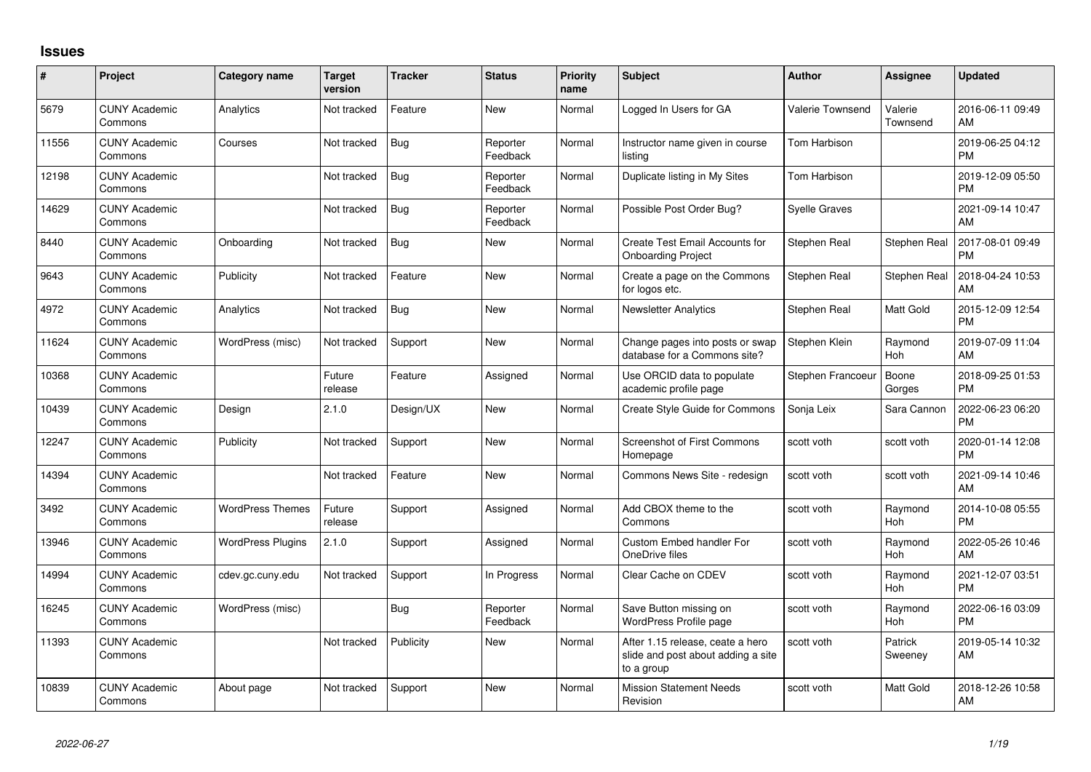## **Issues**

| #     | Project                         | <b>Category name</b>     | <b>Target</b><br>version | <b>Tracker</b> | <b>Status</b>        | <b>Priority</b><br>name | <b>Subject</b>                                                                       | <b>Author</b>           | <b>Assignee</b>       | <b>Updated</b>                |
|-------|---------------------------------|--------------------------|--------------------------|----------------|----------------------|-------------------------|--------------------------------------------------------------------------------------|-------------------------|-----------------------|-------------------------------|
| 5679  | <b>CUNY Academic</b><br>Commons | Analytics                | Not tracked              | Feature        | <b>New</b>           | Normal                  | Logged In Users for GA                                                               | <b>Valerie Townsend</b> | Valerie<br>Townsend   | 2016-06-11 09:49<br>AM        |
| 11556 | <b>CUNY Academic</b><br>Commons | Courses                  | Not tracked              | Bug            | Reporter<br>Feedback | Normal                  | Instructor name given in course<br>listing                                           | Tom Harbison            |                       | 2019-06-25 04:12<br><b>PM</b> |
| 12198 | <b>CUNY Academic</b><br>Commons |                          | Not tracked              | <b>Bug</b>     | Reporter<br>Feedback | Normal                  | Duplicate listing in My Sites                                                        | Tom Harbison            |                       | 2019-12-09 05:50<br><b>PM</b> |
| 14629 | <b>CUNY Academic</b><br>Commons |                          | Not tracked              | <b>Bug</b>     | Reporter<br>Feedback | Normal                  | Possible Post Order Bug?                                                             | <b>Syelle Graves</b>    |                       | 2021-09-14 10:47<br>AM        |
| 8440  | <b>CUNY Academic</b><br>Commons | Onboarding               | Not tracked              | <b>Bug</b>     | <b>New</b>           | Normal                  | <b>Create Test Email Accounts for</b><br><b>Onboarding Project</b>                   | Stephen Real            | Stephen Real          | 2017-08-01 09:49<br><b>PM</b> |
| 9643  | <b>CUNY Academic</b><br>Commons | Publicity                | Not tracked              | Feature        | <b>New</b>           | Normal                  | Create a page on the Commons<br>for logos etc.                                       | Stephen Real            | <b>Stephen Real</b>   | 2018-04-24 10:53<br>AM        |
| 4972  | <b>CUNY Academic</b><br>Commons | Analytics                | Not tracked              | Bug            | <b>New</b>           | Normal                  | <b>Newsletter Analytics</b>                                                          | Stephen Real            | Matt Gold             | 2015-12-09 12:54<br><b>PM</b> |
| 11624 | <b>CUNY Academic</b><br>Commons | WordPress (misc)         | Not tracked              | Support        | <b>New</b>           | Normal                  | Change pages into posts or swap<br>database for a Commons site?                      | Stephen Klein           | Raymond<br>Hoh        | 2019-07-09 11:04<br>AM        |
| 10368 | <b>CUNY Academic</b><br>Commons |                          | Future<br>release        | Feature        | Assigned             | Normal                  | Use ORCID data to populate<br>academic profile page                                  | Stephen Francoeur       | Boone<br>Gorges       | 2018-09-25 01:53<br><b>PM</b> |
| 10439 | <b>CUNY Academic</b><br>Commons | Design                   | 2.1.0                    | Design/UX      | <b>New</b>           | Normal                  | Create Style Guide for Commons                                                       | Sonja Leix              | Sara Cannon           | 2022-06-23 06:20<br><b>PM</b> |
| 12247 | <b>CUNY Academic</b><br>Commons | Publicity                | Not tracked              | Support        | <b>New</b>           | Normal                  | <b>Screenshot of First Commons</b><br>Homepage                                       | scott voth              | scott voth            | 2020-01-14 12:08<br><b>PM</b> |
| 14394 | <b>CUNY Academic</b><br>Commons |                          | Not tracked              | Feature        | <b>New</b>           | Normal                  | Commons News Site - redesign                                                         | scott voth              | scott voth            | 2021-09-14 10:46<br>AM        |
| 3492  | <b>CUNY Academic</b><br>Commons | <b>WordPress Themes</b>  | Future<br>release        | Support        | Assigned             | Normal                  | Add CBOX theme to the<br>Commons                                                     | scott voth              | Raymond<br><b>Hoh</b> | 2014-10-08 05:55<br><b>PM</b> |
| 13946 | <b>CUNY Academic</b><br>Commons | <b>WordPress Plugins</b> | 2.1.0                    | Support        | Assigned             | Normal                  | Custom Embed handler For<br>OneDrive files                                           | scott voth              | Raymond<br>Hoh        | 2022-05-26 10:46<br>AM        |
| 14994 | <b>CUNY Academic</b><br>Commons | cdev.gc.cuny.edu         | Not tracked              | Support        | In Progress          | Normal                  | Clear Cache on CDEV                                                                  | scott voth              | Raymond<br><b>Hoh</b> | 2021-12-07 03:51<br><b>PM</b> |
| 16245 | <b>CUNY Academic</b><br>Commons | WordPress (misc)         |                          | Bug            | Reporter<br>Feedback | Normal                  | Save Button missing on<br><b>WordPress Profile page</b>                              | scott voth              | Raymond<br>Hoh        | 2022-06-16 03:09<br><b>PM</b> |
| 11393 | <b>CUNY Academic</b><br>Commons |                          | Not tracked              | Publicity      | <b>New</b>           | Normal                  | After 1.15 release, ceate a hero<br>slide and post about adding a site<br>to a group | scott voth              | Patrick<br>Sweeney    | 2019-05-14 10:32<br>AM        |
| 10839 | <b>CUNY Academic</b><br>Commons | About page               | Not tracked              | Support        | <b>New</b>           | Normal                  | <b>Mission Statement Needs</b><br>Revision                                           | scott voth              | Matt Gold             | 2018-12-26 10:58<br>AM        |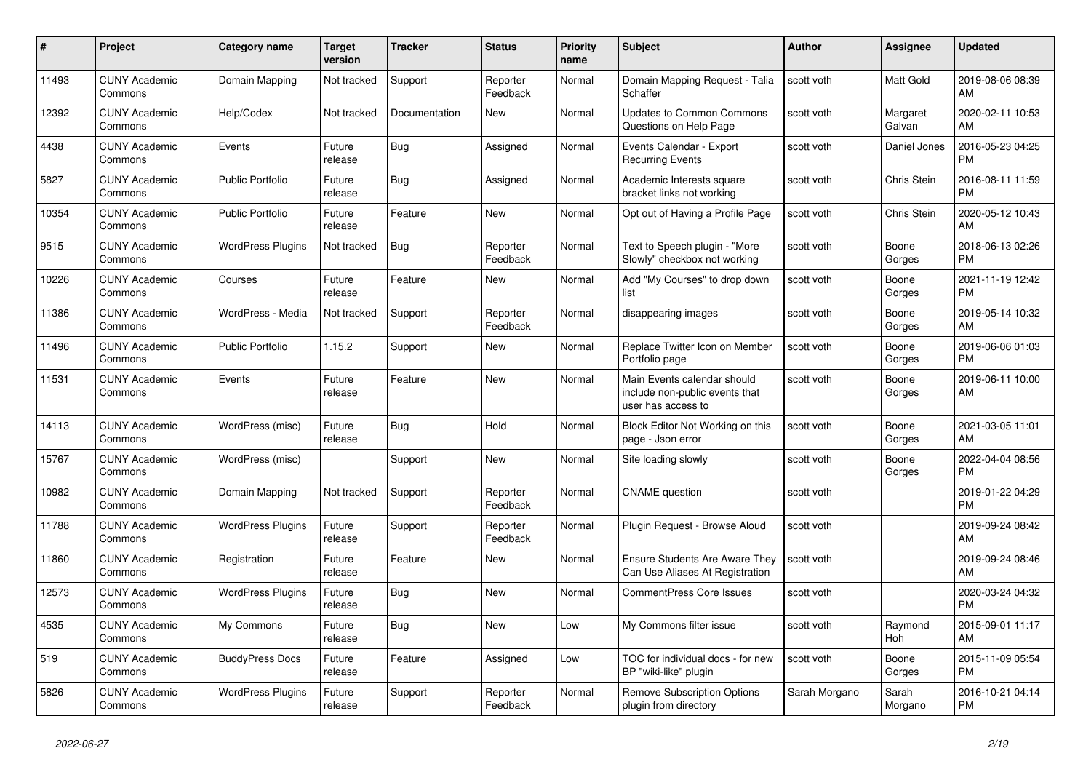| $\pmb{\#}$ | <b>Project</b>                  | Category name            | <b>Target</b><br>version | <b>Tracker</b> | <b>Status</b>        | <b>Priority</b><br>name | <b>Subject</b>                                                                      | <b>Author</b> | <b>Assignee</b>    | <b>Updated</b>                |
|------------|---------------------------------|--------------------------|--------------------------|----------------|----------------------|-------------------------|-------------------------------------------------------------------------------------|---------------|--------------------|-------------------------------|
| 11493      | <b>CUNY Academic</b><br>Commons | Domain Mapping           | Not tracked              | Support        | Reporter<br>Feedback | Normal                  | Domain Mapping Request - Talia<br>Schaffer                                          | scott voth    | <b>Matt Gold</b>   | 2019-08-06 08:39<br>AM        |
| 12392      | <b>CUNY Academic</b><br>Commons | Help/Codex               | Not tracked              | Documentation  | <b>New</b>           | Normal                  | <b>Updates to Common Commons</b><br>Questions on Help Page                          | scott voth    | Margaret<br>Galvan | 2020-02-11 10:53<br>AM        |
| 4438       | <b>CUNY Academic</b><br>Commons | Events                   | Future<br>release        | Bug            | Assigned             | Normal                  | Events Calendar - Export<br><b>Recurring Events</b>                                 | scott voth    | Daniel Jones       | 2016-05-23 04:25<br><b>PM</b> |
| 5827       | <b>CUNY Academic</b><br>Commons | <b>Public Portfolio</b>  | Future<br>release        | <b>Bug</b>     | Assigned             | Normal                  | Academic Interests square<br>bracket links not working                              | scott voth    | Chris Stein        | 2016-08-11 11:59<br><b>PM</b> |
| 10354      | <b>CUNY Academic</b><br>Commons | <b>Public Portfolio</b>  | Future<br>release        | Feature        | New                  | Normal                  | Opt out of Having a Profile Page                                                    | scott voth    | Chris Stein        | 2020-05-12 10:43<br>AM        |
| 9515       | <b>CUNY Academic</b><br>Commons | WordPress Plugins        | Not tracked              | Bug            | Reporter<br>Feedback | Normal                  | Text to Speech plugin - "More<br>Slowly" checkbox not working                       | scott voth    | Boone<br>Gorges    | 2018-06-13 02:26<br><b>PM</b> |
| 10226      | <b>CUNY Academic</b><br>Commons | Courses                  | Future<br>release        | Feature        | <b>New</b>           | Normal                  | Add "My Courses" to drop down<br>list                                               | scott voth    | Boone<br>Gorges    | 2021-11-19 12:42<br><b>PM</b> |
| 11386      | <b>CUNY Academic</b><br>Commons | WordPress - Media        | Not tracked              | Support        | Reporter<br>Feedback | Normal                  | disappearing images                                                                 | scott voth    | Boone<br>Gorges    | 2019-05-14 10:32<br>AM        |
| 11496      | <b>CUNY Academic</b><br>Commons | <b>Public Portfolio</b>  | 1.15.2                   | Support        | <b>New</b>           | Normal                  | Replace Twitter Icon on Member<br>Portfolio page                                    | scott voth    | Boone<br>Gorges    | 2019-06-06 01:03<br><b>PM</b> |
| 11531      | <b>CUNY Academic</b><br>Commons | Events                   | Future<br>release        | Feature        | <b>New</b>           | Normal                  | Main Events calendar should<br>include non-public events that<br>user has access to | scott voth    | Boone<br>Gorges    | 2019-06-11 10:00<br>AM        |
| 14113      | <b>CUNY Academic</b><br>Commons | WordPress (misc)         | Future<br>release        | Bug            | Hold                 | Normal                  | Block Editor Not Working on this<br>page - Json error                               | scott voth    | Boone<br>Gorges    | 2021-03-05 11:01<br>AM        |
| 15767      | <b>CUNY Academic</b><br>Commons | WordPress (misc)         |                          | Support        | <b>New</b>           | Normal                  | Site loading slowly                                                                 | scott voth    | Boone<br>Gorges    | 2022-04-04 08:56<br><b>PM</b> |
| 10982      | <b>CUNY Academic</b><br>Commons | Domain Mapping           | Not tracked              | Support        | Reporter<br>Feedback | Normal                  | <b>CNAME</b> question                                                               | scott voth    |                    | 2019-01-22 04:29<br><b>PM</b> |
| 11788      | <b>CUNY Academic</b><br>Commons | <b>WordPress Plugins</b> | Future<br>release        | Support        | Reporter<br>Feedback | Normal                  | Plugin Request - Browse Aloud                                                       | scott voth    |                    | 2019-09-24 08:42<br>AM        |
| 11860      | <b>CUNY Academic</b><br>Commons | Registration             | Future<br>release        | Feature        | <b>New</b>           | Normal                  | <b>Ensure Students Are Aware They</b><br>Can Use Aliases At Registration            | scott voth    |                    | 2019-09-24 08:46<br>AM        |
| 12573      | <b>CUNY Academic</b><br>Commons | <b>WordPress Plugins</b> | Future<br>release        | <b>Bug</b>     | <b>New</b>           | Normal                  | <b>CommentPress Core Issues</b>                                                     | scott voth    |                    | 2020-03-24 04:32<br><b>PM</b> |
| 4535       | <b>CUNY Academic</b><br>Commons | My Commons               | Future<br>release        | <b>Bug</b>     | <b>New</b>           | Low                     | My Commons filter issue                                                             | scott voth    | Raymond<br>Hoh     | 2015-09-01 11:17<br>AM        |
| 519        | <b>CUNY Academic</b><br>Commons | <b>BuddyPress Docs</b>   | Future<br>release        | Feature        | Assigned             | Low                     | TOC for individual docs - for new<br>BP "wiki-like" plugin                          | scott voth    | Boone<br>Gorges    | 2015-11-09 05:54<br><b>PM</b> |
| 5826       | <b>CUNY Academic</b><br>Commons | <b>WordPress Plugins</b> | Future<br>release        | Support        | Reporter<br>Feedback | Normal                  | Remove Subscription Options<br>plugin from directory                                | Sarah Morgano | Sarah<br>Morgano   | 2016-10-21 04:14<br><b>PM</b> |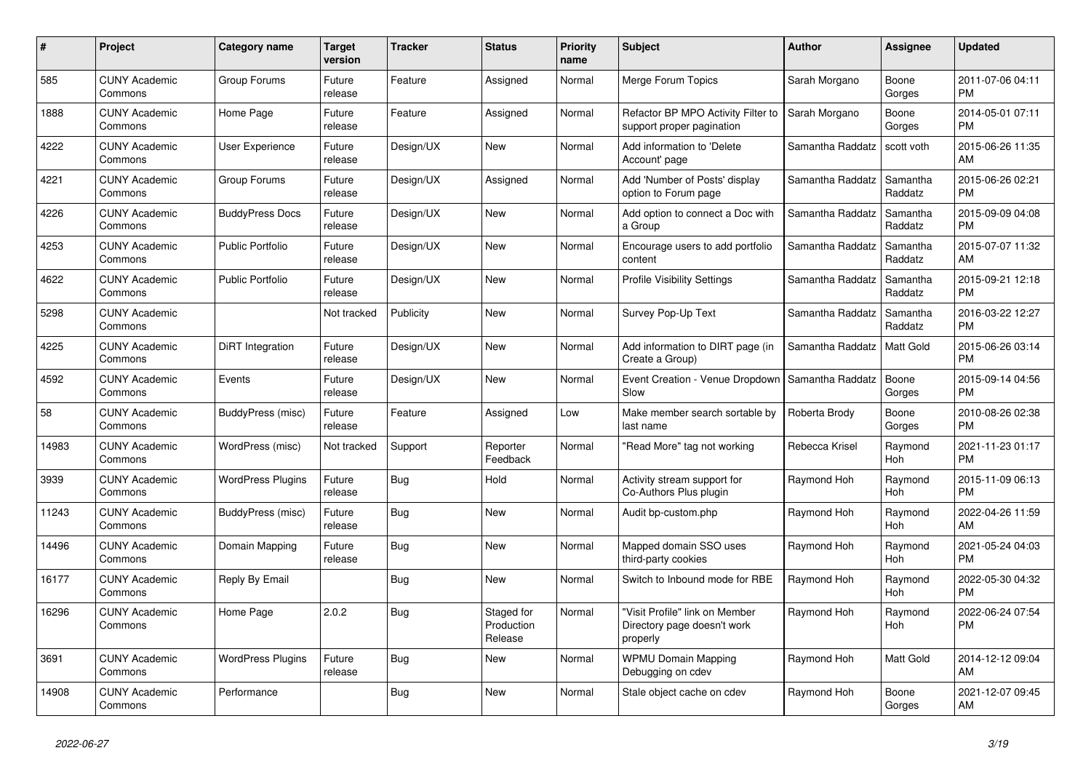| #     | Project                         | <b>Category name</b>     | <b>Target</b><br>version | <b>Tracker</b> | <b>Status</b>                       | <b>Priority</b><br>name | <b>Subject</b>                                                            | <b>Author</b>    | <b>Assignee</b>       | <b>Updated</b>                |
|-------|---------------------------------|--------------------------|--------------------------|----------------|-------------------------------------|-------------------------|---------------------------------------------------------------------------|------------------|-----------------------|-------------------------------|
| 585   | <b>CUNY Academic</b><br>Commons | Group Forums             | Future<br>release        | Feature        | Assigned                            | Normal                  | Merge Forum Topics                                                        | Sarah Morgano    | Boone<br>Gorges       | 2011-07-06 04:11<br><b>PM</b> |
| 1888  | <b>CUNY Academic</b><br>Commons | Home Page                | Future<br>release        | Feature        | Assigned                            | Normal                  | Refactor BP MPO Activity Filter to<br>support proper pagination           | Sarah Morgano    | Boone<br>Gorges       | 2014-05-01 07:11<br><b>PM</b> |
| 4222  | <b>CUNY Academic</b><br>Commons | User Experience          | Future<br>release        | Design/UX      | New                                 | Normal                  | Add information to 'Delete<br>Account' page                               | Samantha Raddatz | scott voth            | 2015-06-26 11:35<br>AM        |
| 4221  | <b>CUNY Academic</b><br>Commons | Group Forums             | Future<br>release        | Design/UX      | Assigned                            | Normal                  | Add 'Number of Posts' display<br>option to Forum page                     | Samantha Raddatz | Samantha<br>Raddatz   | 2015-06-26 02:21<br><b>PM</b> |
| 4226  | <b>CUNY Academic</b><br>Commons | <b>BuddyPress Docs</b>   | Future<br>release        | Design/UX      | <b>New</b>                          | Normal                  | Add option to connect a Doc with<br>a Group                               | Samantha Raddatz | Samantha<br>Raddatz   | 2015-09-09 04:08<br><b>PM</b> |
| 4253  | <b>CUNY Academic</b><br>Commons | <b>Public Portfolio</b>  | Future<br>release        | Design/UX      | New                                 | Normal                  | Encourage users to add portfolio<br>content                               | Samantha Raddatz | Samantha<br>Raddatz   | 2015-07-07 11:32<br>AM        |
| 4622  | <b>CUNY Academic</b><br>Commons | <b>Public Portfolio</b>  | Future<br>release        | Design/UX      | <b>New</b>                          | Normal                  | <b>Profile Visibility Settings</b>                                        | Samantha Raddatz | Samantha<br>Raddatz   | 2015-09-21 12:18<br><b>PM</b> |
| 5298  | <b>CUNY Academic</b><br>Commons |                          | Not tracked              | Publicity      | <b>New</b>                          | Normal                  | Survey Pop-Up Text                                                        | Samantha Raddatz | Samantha<br>Raddatz   | 2016-03-22 12:27<br><b>PM</b> |
| 4225  | <b>CUNY Academic</b><br>Commons | DiRT Integration         | Future<br>release        | Design/UX      | <b>New</b>                          | Normal                  | Add information to DIRT page (in<br>Create a Group)                       | Samantha Raddatz | Matt Gold             | 2015-06-26 03:14<br><b>PM</b> |
| 4592  | <b>CUNY Academic</b><br>Commons | Events                   | Future<br>release        | Design/UX      | <b>New</b>                          | Normal                  | Event Creation - Venue Dropdown<br>Slow                                   | Samantha Raddatz | Boone<br>Gorges       | 2015-09-14 04:56<br><b>PM</b> |
| 58    | <b>CUNY Academic</b><br>Commons | BuddyPress (misc)        | Future<br>release        | Feature        | Assigned                            | Low                     | Make member search sortable by<br>last name                               | Roberta Brody    | Boone<br>Gorges       | 2010-08-26 02:38<br><b>PM</b> |
| 14983 | <b>CUNY Academic</b><br>Commons | WordPress (misc)         | Not tracked              | Support        | Reporter<br>Feedback                | Normal                  | 'Read More" tag not working                                               | Rebecca Krisel   | Raymond<br>Hoh        | 2021-11-23 01:17<br><b>PM</b> |
| 3939  | <b>CUNY Academic</b><br>Commons | <b>WordPress Plugins</b> | Future<br>release        | Bug            | Hold                                | Normal                  | Activity stream support for<br>Co-Authors Plus plugin                     | Raymond Hoh      | Raymond<br><b>Hoh</b> | 2015-11-09 06:13<br><b>PM</b> |
| 11243 | <b>CUNY Academic</b><br>Commons | BuddyPress (misc)        | Future<br>release        | Bug            | <b>New</b>                          | Normal                  | Audit bp-custom.php                                                       | Raymond Hoh      | Raymond<br><b>Hoh</b> | 2022-04-26 11:59<br>AM        |
| 14496 | <b>CUNY Academic</b><br>Commons | Domain Mapping           | Future<br>release        | Bug            | <b>New</b>                          | Normal                  | Mapped domain SSO uses<br>third-party cookies                             | Raymond Hoh      | Raymond<br>Hoh        | 2021-05-24 04:03<br><b>PM</b> |
| 16177 | <b>CUNY Academic</b><br>Commons | Reply By Email           |                          | <b>Bug</b>     | <b>New</b>                          | Normal                  | Switch to Inbound mode for RBE                                            | Raymond Hoh      | Raymond<br><b>Hoh</b> | 2022-05-30 04:32<br><b>PM</b> |
| 16296 | <b>CUNY Academic</b><br>Commons | Home Page                | 2.0.2                    | Bug            | Staged for<br>Production<br>Release | Normal                  | 'Visit Profile" link on Member<br>Directory page doesn't work<br>properly | Raymond Hoh      | Raymond<br>Hoh        | 2022-06-24 07:54<br><b>PM</b> |
| 3691  | <b>CUNY Academic</b><br>Commons | <b>WordPress Plugins</b> | Future<br>release        | <b>Bug</b>     | <b>New</b>                          | Normal                  | <b>WPMU Domain Mapping</b><br>Debugging on cdev                           | Raymond Hoh      | Matt Gold             | 2014-12-12 09:04<br>AM        |
| 14908 | <b>CUNY Academic</b><br>Commons | Performance              |                          | Bug            | <b>New</b>                          | Normal                  | Stale object cache on cdev                                                | Raymond Hoh      | Boone<br>Gorges       | 2021-12-07 09:45<br>AM        |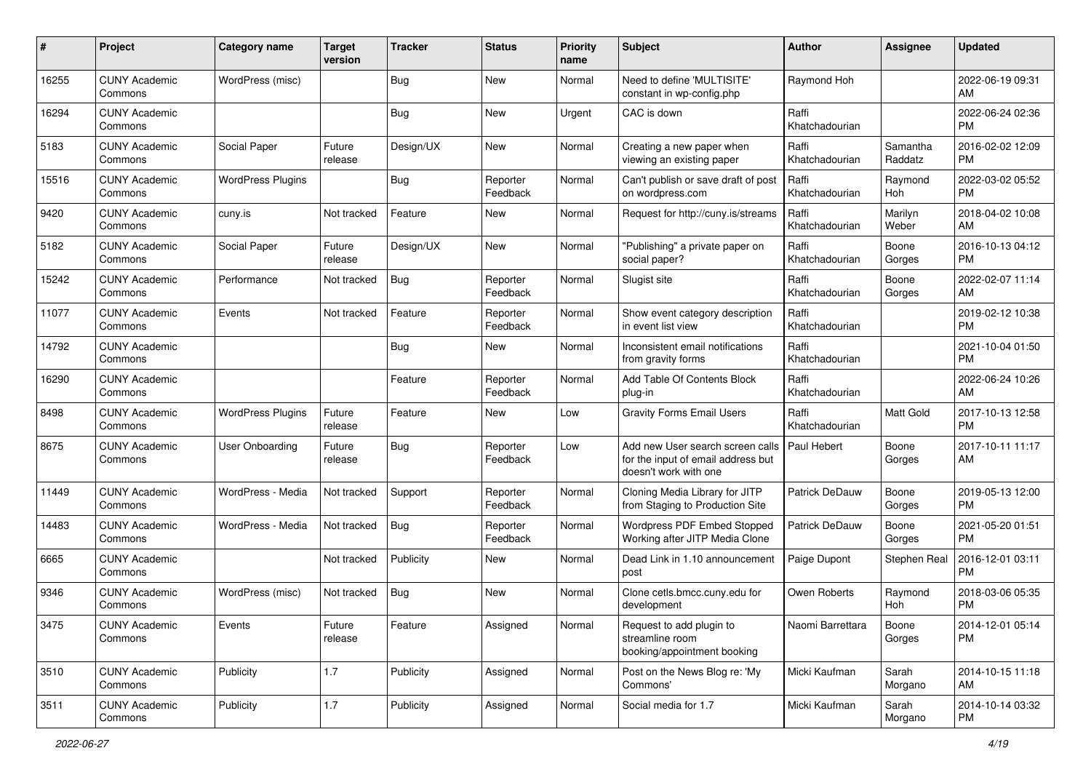| #     | Project                         | <b>Category name</b>     | <b>Target</b><br>version | <b>Tracker</b> | <b>Status</b>        | <b>Priority</b><br>name | Subject                                                                                                       | Author                  | <b>Assignee</b>     | <b>Updated</b>                |
|-------|---------------------------------|--------------------------|--------------------------|----------------|----------------------|-------------------------|---------------------------------------------------------------------------------------------------------------|-------------------------|---------------------|-------------------------------|
| 16255 | <b>CUNY Academic</b><br>Commons | WordPress (misc)         |                          | Bug            | <b>New</b>           | Normal                  | Need to define 'MULTISITE'<br>constant in wp-config.php                                                       | Raymond Hoh             |                     | 2022-06-19 09:31<br>AM        |
| 16294 | <b>CUNY Academic</b><br>Commons |                          |                          | <b>Bug</b>     | New                  | Urgent                  | CAC is down                                                                                                   | Raffi<br>Khatchadourian |                     | 2022-06-24 02:36<br><b>PM</b> |
| 5183  | <b>CUNY Academic</b><br>Commons | Social Paper             | Future<br>release        | Design/UX      | New                  | Normal                  | Creating a new paper when<br>viewing an existing paper                                                        | Raffi<br>Khatchadourian | Samantha<br>Raddatz | 2016-02-02 12:09<br><b>PM</b> |
| 15516 | <b>CUNY Academic</b><br>Commons | <b>WordPress Plugins</b> |                          | Bug            | Reporter<br>Feedback | Normal                  | Can't publish or save draft of post<br>on wordpress.com                                                       | Raffi<br>Khatchadourian | Raymond<br>Hoh      | 2022-03-02 05:52<br><b>PM</b> |
| 9420  | <b>CUNY Academic</b><br>Commons | cuny.is                  | Not tracked              | Feature        | <b>New</b>           | Normal                  | Request for http://cuny.is/streams                                                                            | Raffi<br>Khatchadourian | Marilyn<br>Weber    | 2018-04-02 10:08<br>AM        |
| 5182  | <b>CUNY Academic</b><br>Commons | Social Paper             | Future<br>release        | Design/UX      | New                  | Normal                  | "Publishing" a private paper on<br>social paper?                                                              | Raffi<br>Khatchadourian | Boone<br>Gorges     | 2016-10-13 04:12<br><b>PM</b> |
| 15242 | <b>CUNY Academic</b><br>Commons | Performance              | Not tracked              | <b>Bug</b>     | Reporter<br>Feedback | Normal                  | Slugist site                                                                                                  | Raffi<br>Khatchadourian | Boone<br>Gorges     | 2022-02-07 11:14<br>AM        |
| 11077 | <b>CUNY Academic</b><br>Commons | Events                   | Not tracked              | Feature        | Reporter<br>Feedback | Normal                  | Show event category description<br>in event list view                                                         | Raffi<br>Khatchadourian |                     | 2019-02-12 10:38<br>PM        |
| 14792 | <b>CUNY Academic</b><br>Commons |                          |                          | Bug            | New                  | Normal                  | Inconsistent email notifications<br>from gravity forms                                                        | Raffi<br>Khatchadourian |                     | 2021-10-04 01:50<br><b>PM</b> |
| 16290 | <b>CUNY Academic</b><br>Commons |                          |                          | Feature        | Reporter<br>Feedback | Normal                  | Add Table Of Contents Block<br>plug-in                                                                        | Raffi<br>Khatchadourian |                     | 2022-06-24 10:26<br>AM        |
| 8498  | <b>CUNY Academic</b><br>Commons | <b>WordPress Plugins</b> | Future<br>release        | Feature        | <b>New</b>           | Low                     | <b>Gravity Forms Email Users</b>                                                                              | Raffi<br>Khatchadourian | Matt Gold           | 2017-10-13 12:58<br><b>PM</b> |
| 8675  | <b>CUNY Academic</b><br>Commons | User Onboarding          | Future<br>release        | Bug            | Reporter<br>Feedback | Low                     | Add new User search screen calls   Paul Hebert<br>for the input of email address but<br>doesn't work with one |                         | Boone<br>Gorges     | 2017-10-11 11:17<br>AM        |
| 11449 | <b>CUNY Academic</b><br>Commons | WordPress - Media        | Not tracked              | Support        | Reporter<br>Feedback | Normal                  | Cloning Media Library for JITP<br>from Staging to Production Site                                             | Patrick DeDauw          | Boone<br>Gorges     | 2019-05-13 12:00<br><b>PM</b> |
| 14483 | <b>CUNY Academic</b><br>Commons | WordPress - Media        | Not tracked              | Bug            | Reporter<br>Feedback | Normal                  | Wordpress PDF Embed Stopped<br>Working after JITP Media Clone                                                 | Patrick DeDauw          | Boone<br>Gorges     | 2021-05-20 01:51<br><b>PM</b> |
| 6665  | <b>CUNY Academic</b><br>Commons |                          | Not tracked              | Publicity      | <b>New</b>           | Normal                  | Dead Link in 1.10 announcement<br>post                                                                        | Paige Dupont            | Stephen Real        | 2016-12-01 03:11<br><b>PM</b> |
| 9346  | <b>CUNY Academic</b><br>Commons | WordPress (misc)         | Not tracked              | Bug            | <b>New</b>           | Normal                  | Clone cetls.bmcc.cuny.edu for<br>development                                                                  | Owen Roberts            | Raymond<br>Hoh      | 2018-03-06 05:35<br><b>PM</b> |
| 3475  | <b>CUNY Academic</b><br>Commons | Events                   | Future<br>release        | Feature        | Assigned             | Normal                  | Request to add plugin to<br>streamline room<br>booking/appointment booking                                    | Naomi Barrettara        | Boone<br>Gorges     | 2014-12-01 05:14<br><b>PM</b> |
| 3510  | <b>CUNY Academic</b><br>Commons | Publicity                | 1.7                      | Publicity      | Assigned             | Normal                  | Post on the News Blog re: 'My<br>Commons'                                                                     | Micki Kaufman           | Sarah<br>Morgano    | 2014-10-15 11:18<br>AM        |
| 3511  | <b>CUNY Academic</b><br>Commons | Publicity                | 1.7                      | Publicity      | Assigned             | Normal                  | Social media for 1.7                                                                                          | Micki Kaufman           | Sarah<br>Morgano    | 2014-10-14 03:32<br><b>PM</b> |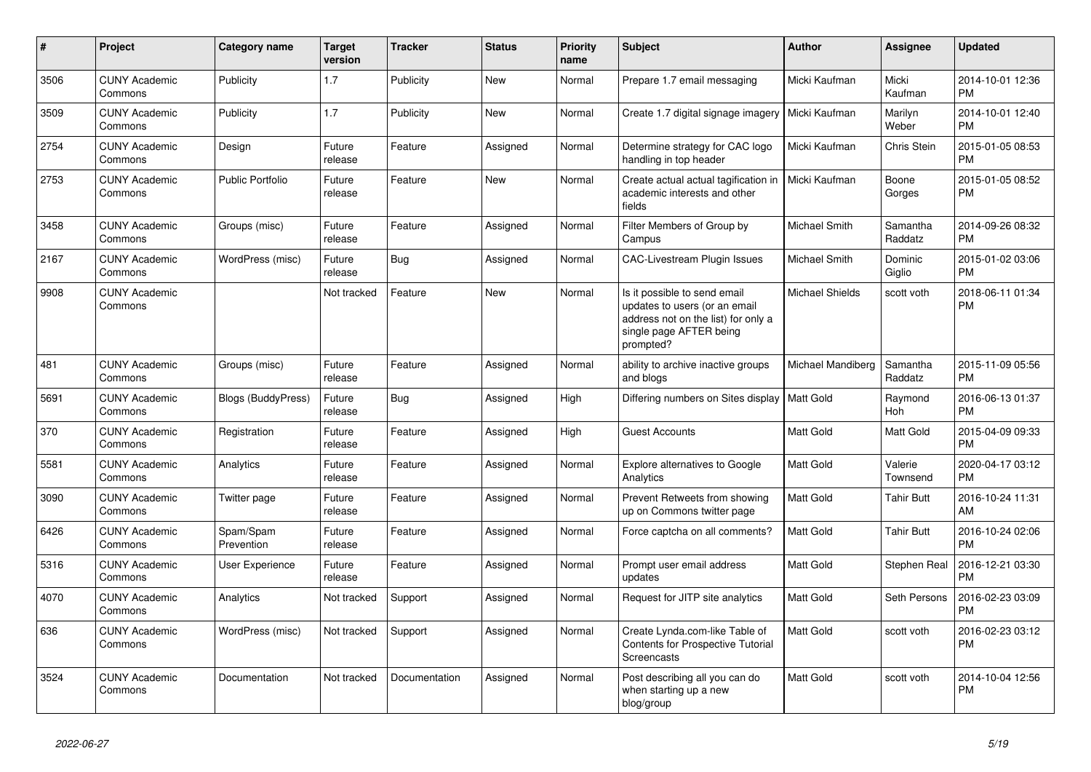| $\#$ | <b>Project</b>                  | Category name           | <b>Target</b><br>version | <b>Tracker</b> | <b>Status</b> | <b>Priority</b><br>name | <b>Subject</b>                                                                                                                               | <b>Author</b>          | Assignee              | <b>Updated</b>                |
|------|---------------------------------|-------------------------|--------------------------|----------------|---------------|-------------------------|----------------------------------------------------------------------------------------------------------------------------------------------|------------------------|-----------------------|-------------------------------|
| 3506 | <b>CUNY Academic</b><br>Commons | Publicity               | 1.7                      | Publicity      | <b>New</b>    | Normal                  | Prepare 1.7 email messaging                                                                                                                  | Micki Kaufman          | Micki<br>Kaufman      | 2014-10-01 12:36<br><b>PM</b> |
| 3509 | <b>CUNY Academic</b><br>Commons | Publicity               | 1.7                      | Publicity      | <b>New</b>    | Normal                  | Create 1.7 digital signage imagery                                                                                                           | Micki Kaufman          | Marilyn<br>Weber      | 2014-10-01 12:40<br><b>PM</b> |
| 2754 | <b>CUNY Academic</b><br>Commons | Design                  | Future<br>release        | Feature        | Assigned      | Normal                  | Determine strategy for CAC logo<br>handling in top header                                                                                    | Micki Kaufman          | Chris Stein           | 2015-01-05 08:53<br><b>PM</b> |
| 2753 | <b>CUNY Academic</b><br>Commons | <b>Public Portfolio</b> | Future<br>release        | Feature        | New           | Normal                  | Create actual actual tagification in<br>academic interests and other<br>fields                                                               | Micki Kaufman          | Boone<br>Gorges       | 2015-01-05 08:52<br><b>PM</b> |
| 3458 | <b>CUNY Academic</b><br>Commons | Groups (misc)           | Future<br>release        | Feature        | Assigned      | Normal                  | Filter Members of Group by<br>Campus                                                                                                         | <b>Michael Smith</b>   | Samantha<br>Raddatz   | 2014-09-26 08:32<br><b>PM</b> |
| 2167 | <b>CUNY Academic</b><br>Commons | WordPress (misc)        | Future<br>release        | Bug            | Assigned      | Normal                  | <b>CAC-Livestream Plugin Issues</b>                                                                                                          | Michael Smith          | Dominic<br>Giglio     | 2015-01-02 03:06<br><b>PM</b> |
| 9908 | <b>CUNY Academic</b><br>Commons |                         | Not tracked              | Feature        | <b>New</b>    | Normal                  | Is it possible to send email<br>updates to users (or an email<br>address not on the list) for only a<br>single page AFTER being<br>prompted? | <b>Michael Shields</b> | scott voth            | 2018-06-11 01:34<br><b>PM</b> |
| 481  | <b>CUNY Academic</b><br>Commons | Groups (misc)           | Future<br>release        | Feature        | Assigned      | Normal                  | ability to archive inactive groups<br>and blogs                                                                                              | Michael Mandiberg      | Samantha<br>Raddatz   | 2015-11-09 05:56<br><b>PM</b> |
| 5691 | <b>CUNY Academic</b><br>Commons | Blogs (BuddyPress)      | Future<br>release        | <b>Bug</b>     | Assigned      | High                    | Differing numbers on Sites display                                                                                                           | <b>Matt Gold</b>       | Raymond<br><b>Hoh</b> | 2016-06-13 01:37<br><b>PM</b> |
| 370  | <b>CUNY Academic</b><br>Commons | Registration            | Future<br>release        | Feature        | Assigned      | High                    | <b>Guest Accounts</b>                                                                                                                        | Matt Gold              | Matt Gold             | 2015-04-09 09:33<br><b>PM</b> |
| 5581 | <b>CUNY Academic</b><br>Commons | Analytics               | Future<br>release        | Feature        | Assigned      | Normal                  | Explore alternatives to Google<br>Analytics                                                                                                  | <b>Matt Gold</b>       | Valerie<br>Townsend   | 2020-04-17 03:12<br><b>PM</b> |
| 3090 | <b>CUNY Academic</b><br>Commons | Twitter page            | Future<br>release        | Feature        | Assigned      | Normal                  | Prevent Retweets from showing<br>up on Commons twitter page                                                                                  | <b>Matt Gold</b>       | <b>Tahir Butt</b>     | 2016-10-24 11:31<br>AM        |
| 6426 | <b>CUNY Academic</b><br>Commons | Spam/Spam<br>Prevention | Future<br>release        | Feature        | Assigned      | Normal                  | Force captcha on all comments?                                                                                                               | <b>Matt Gold</b>       | <b>Tahir Butt</b>     | 2016-10-24 02:06<br><b>PM</b> |
| 5316 | <b>CUNY Academic</b><br>Commons | User Experience         | Future<br>release        | Feature        | Assigned      | Normal                  | Prompt user email address<br>updates                                                                                                         | <b>Matt Gold</b>       | <b>Stephen Real</b>   | 2016-12-21 03:30<br><b>PM</b> |
| 4070 | <b>CUNY Academic</b><br>Commons | Analytics               | Not tracked              | Support        | Assigned      | Normal                  | Request for JITP site analytics                                                                                                              | Matt Gold              | Seth Persons          | 2016-02-23 03:09<br><b>PM</b> |
| 636  | <b>CUNY Academic</b><br>Commons | WordPress (misc)        | Not tracked              | Support        | Assigned      | Normal                  | Create Lynda.com-like Table of<br><b>Contents for Prospective Tutorial</b><br>Screencasts                                                    | <b>Matt Gold</b>       | scott voth            | 2016-02-23 03:12<br><b>PM</b> |
| 3524 | <b>CUNY Academic</b><br>Commons | Documentation           | Not tracked              | Documentation  | Assigned      | Normal                  | Post describing all you can do<br>when starting up a new<br>blog/group                                                                       | <b>Matt Gold</b>       | scott voth            | 2014-10-04 12:56<br><b>PM</b> |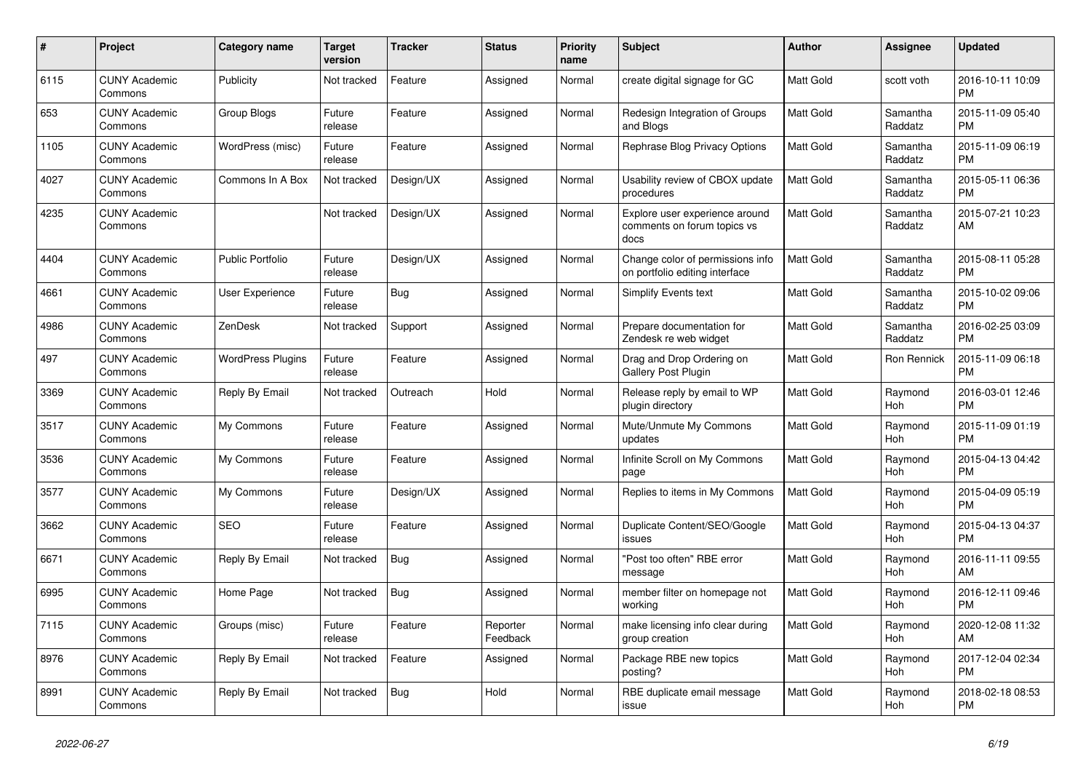| $\#$ | <b>Project</b>                  | Category name            | <b>Target</b><br>version | <b>Tracker</b> | <b>Status</b>        | <b>Priority</b><br>name | <b>Subject</b>                                                        | Author           | Assignee              | <b>Updated</b>                |
|------|---------------------------------|--------------------------|--------------------------|----------------|----------------------|-------------------------|-----------------------------------------------------------------------|------------------|-----------------------|-------------------------------|
| 6115 | <b>CUNY Academic</b><br>Commons | Publicity                | Not tracked              | Feature        | Assigned             | Normal                  | create digital signage for GC                                         | <b>Matt Gold</b> | scott voth            | 2016-10-11 10:09<br><b>PM</b> |
| 653  | <b>CUNY Academic</b><br>Commons | Group Blogs              | Future<br>release        | Feature        | Assigned             | Normal                  | Redesign Integration of Groups<br>and Blogs                           | <b>Matt Gold</b> | Samantha<br>Raddatz   | 2015-11-09 05:40<br><b>PM</b> |
| 1105 | <b>CUNY Academic</b><br>Commons | WordPress (misc)         | Future<br>release        | Feature        | Assigned             | Normal                  | Rephrase Blog Privacy Options                                         | <b>Matt Gold</b> | Samantha<br>Raddatz   | 2015-11-09 06:19<br><b>PM</b> |
| 4027 | <b>CUNY Academic</b><br>Commons | Commons In A Box         | Not tracked              | Design/UX      | Assigned             | Normal                  | Usability review of CBOX update<br>procedures                         | Matt Gold        | Samantha<br>Raddatz   | 2015-05-11 06:36<br><b>PM</b> |
| 4235 | <b>CUNY Academic</b><br>Commons |                          | Not tracked              | Design/UX      | Assigned             | Normal                  | Explore user experience around<br>comments on forum topics vs<br>docs | <b>Matt Gold</b> | Samantha<br>Raddatz   | 2015-07-21 10:23<br>AM        |
| 4404 | <b>CUNY Academic</b><br>Commons | <b>Public Portfolio</b>  | Future<br>release        | Design/UX      | Assigned             | Normal                  | Change color of permissions info<br>on portfolio editing interface    | <b>Matt Gold</b> | Samantha<br>Raddatz   | 2015-08-11 05:28<br><b>PM</b> |
| 4661 | <b>CUNY Academic</b><br>Commons | User Experience          | Future<br>release        | Bug            | Assigned             | Normal                  | <b>Simplify Events text</b>                                           | Matt Gold        | Samantha<br>Raddatz   | 2015-10-02 09:06<br><b>PM</b> |
| 4986 | <b>CUNY Academic</b><br>Commons | ZenDesk                  | Not tracked              | Support        | Assigned             | Normal                  | Prepare documentation for<br>Zendesk re web widget                    | <b>Matt Gold</b> | Samantha<br>Raddatz   | 2016-02-25 03:09<br><b>PM</b> |
| 497  | <b>CUNY Academic</b><br>Commons | <b>WordPress Plugins</b> | Future<br>release        | Feature        | Assigned             | Normal                  | Drag and Drop Ordering on<br>Gallery Post Plugin                      | <b>Matt Gold</b> | Ron Rennick           | 2015-11-09 06:18<br><b>PM</b> |
| 3369 | <b>CUNY Academic</b><br>Commons | Reply By Email           | Not tracked              | Outreach       | Hold                 | Normal                  | Release reply by email to WP<br>plugin directory                      | <b>Matt Gold</b> | Raymond<br>Hoh        | 2016-03-01 12:46<br><b>PM</b> |
| 3517 | <b>CUNY Academic</b><br>Commons | My Commons               | Future<br>release        | Feature        | Assigned             | Normal                  | Mute/Unmute My Commons<br>updates                                     | <b>Matt Gold</b> | Raymond<br>Hoh        | 2015-11-09 01:19<br><b>PM</b> |
| 3536 | <b>CUNY Academic</b><br>Commons | My Commons               | Future<br>release        | Feature        | Assigned             | Normal                  | Infinite Scroll on My Commons<br>page                                 | <b>Matt Gold</b> | Raymond<br>Hoh        | 2015-04-13 04:42<br><b>PM</b> |
| 3577 | <b>CUNY Academic</b><br>Commons | My Commons               | Future<br>release        | Design/UX      | Assigned             | Normal                  | Replies to items in My Commons                                        | <b>Matt Gold</b> | Raymond<br>Hoh        | 2015-04-09 05:19<br><b>PM</b> |
| 3662 | <b>CUNY Academic</b><br>Commons | <b>SEO</b>               | Future<br>release        | Feature        | Assigned             | Normal                  | Duplicate Content/SEO/Google<br>issues                                | <b>Matt Gold</b> | Raymond<br>Hoh        | 2015-04-13 04:37<br><b>PM</b> |
| 6671 | <b>CUNY Academic</b><br>Commons | Reply By Email           | Not tracked              | <b>Bug</b>     | Assigned             | Normal                  | "Post too often" RBE error<br>message                                 | Matt Gold        | Raymond<br>Hoh        | 2016-11-11 09:55<br>AM        |
| 6995 | <b>CUNY Academic</b><br>Commons | Home Page                | Not tracked              | <b>Bug</b>     | Assigned             | Normal                  | member filter on homepage not<br>working                              | Matt Gold        | Raymond<br>Hoh        | 2016-12-11 09:46<br><b>PM</b> |
| 7115 | <b>CUNY Academic</b><br>Commons | Groups (misc)            | Future<br>release        | Feature        | Reporter<br>Feedback | Normal                  | make licensing info clear during<br>group creation                    | Matt Gold        | Raymond<br><b>Hoh</b> | 2020-12-08 11:32<br>AM        |
| 8976 | <b>CUNY Academic</b><br>Commons | Reply By Email           | Not tracked              | Feature        | Assigned             | Normal                  | Package RBE new topics<br>posting?                                    | <b>Matt Gold</b> | Raymond<br>Hoh        | 2017-12-04 02:34<br><b>PM</b> |
| 8991 | <b>CUNY Academic</b><br>Commons | Reply By Email           | Not tracked              | Bug            | Hold                 | Normal                  | RBE duplicate email message<br>issue                                  | <b>Matt Gold</b> | Raymond<br>Hoh        | 2018-02-18 08:53<br><b>PM</b> |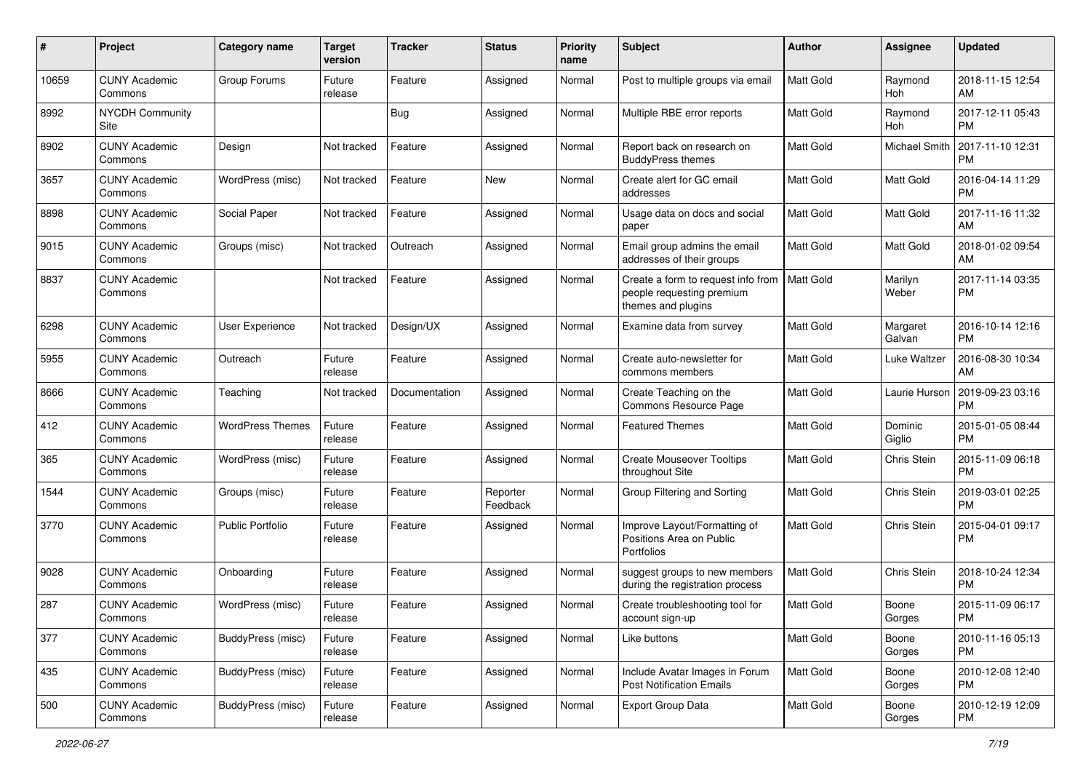| #     | Project                         | <b>Category name</b>    | <b>Target</b><br>version | <b>Tracker</b> | <b>Status</b>        | <b>Priority</b><br>name | <b>Subject</b>                                                                        | Author           | <b>Assignee</b>    | <b>Updated</b>                |
|-------|---------------------------------|-------------------------|--------------------------|----------------|----------------------|-------------------------|---------------------------------------------------------------------------------------|------------------|--------------------|-------------------------------|
| 10659 | <b>CUNY Academic</b><br>Commons | Group Forums            | Future<br>release        | Feature        | Assigned             | Normal                  | Post to multiple groups via email                                                     | Matt Gold        | Raymond<br>Hoh     | 2018-11-15 12:54<br>AM        |
| 8992  | <b>NYCDH Community</b><br>Site  |                         |                          | <b>Bug</b>     | Assigned             | Normal                  | Multiple RBE error reports                                                            | Matt Gold        | Raymond<br>Hoh     | 2017-12-11 05:43<br>PМ        |
| 8902  | <b>CUNY Academic</b><br>Commons | Design                  | Not tracked              | Feature        | Assigned             | Normal                  | Report back on research on<br><b>BuddyPress themes</b>                                | Matt Gold        | Michael Smith      | 2017-11-10 12:31<br>РM        |
| 3657  | <b>CUNY Academic</b><br>Commons | WordPress (misc)        | Not tracked              | Feature        | New                  | Normal                  | Create alert for GC email<br>addresses                                                | Matt Gold        | <b>Matt Gold</b>   | 2016-04-14 11:29<br><b>PM</b> |
| 8898  | <b>CUNY Academic</b><br>Commons | Social Paper            | Not tracked              | Feature        | Assigned             | Normal                  | Usage data on docs and social<br>paper                                                | Matt Gold        | <b>Matt Gold</b>   | 2017-11-16 11:32<br>AM        |
| 9015  | <b>CUNY Academic</b><br>Commons | Groups (misc)           | Not tracked              | Outreach       | Assigned             | Normal                  | Email group admins the email<br>addresses of their groups                             | Matt Gold        | Matt Gold          | 2018-01-02 09:54<br>AM        |
| 8837  | <b>CUNY Academic</b><br>Commons |                         | Not tracked              | Feature        | Assigned             | Normal                  | Create a form to request info from<br>people requesting premium<br>themes and plugins | Matt Gold        | Marilyn<br>Weber   | 2017-11-14 03:35<br><b>PM</b> |
| 6298  | <b>CUNY Academic</b><br>Commons | <b>User Experience</b>  | Not tracked              | Design/UX      | Assigned             | Normal                  | Examine data from survey                                                              | Matt Gold        | Margaret<br>Galvan | 2016-10-14 12:16<br>РM        |
| 5955  | <b>CUNY Academic</b><br>Commons | Outreach                | Future<br>release        | Feature        | Assigned             | Normal                  | Create auto-newsletter for<br>commons members                                         | Matt Gold        | Luke Waltzer       | 2016-08-30 10:34<br>AM        |
| 8666  | <b>CUNY Academic</b><br>Commons | Teaching                | Not tracked              | Documentation  | Assigned             | Normal                  | Create Teaching on the<br>Commons Resource Page                                       | Matt Gold        | Laurie Hurson      | 2019-09-23 03:16<br><b>PM</b> |
| 412   | <b>CUNY Academic</b><br>Commons | <b>WordPress Themes</b> | Future<br>release        | Feature        | Assigned             | Normal                  | <b>Featured Themes</b>                                                                | Matt Gold        | Dominic<br>Giglio  | 2015-01-05 08:44<br>РM        |
| 365   | <b>CUNY Academic</b><br>Commons | WordPress (misc)        | Future<br>release        | Feature        | Assigned             | Normal                  | <b>Create Mouseover Tooltips</b><br>throughout Site                                   | Matt Gold        | Chris Stein        | 2015-11-09 06:18<br><b>PM</b> |
| 1544  | <b>CUNY Academic</b><br>Commons | Groups (misc)           | Future<br>release        | Feature        | Reporter<br>Feedback | Normal                  | Group Filtering and Sorting                                                           | Matt Gold        | Chris Stein        | 2019-03-01 02:25<br><b>PM</b> |
| 3770  | <b>CUNY Academic</b><br>Commons | <b>Public Portfolio</b> | Future<br>release        | Feature        | Assigned             | Normal                  | Improve Layout/Formatting of<br>Positions Area on Public<br><b>Portfolios</b>         | Matt Gold        | Chris Stein        | 2015-04-01 09:17<br>РM        |
| 9028  | <b>CUNY Academic</b><br>Commons | Onboarding              | Future<br>release        | Feature        | Assigned             | Normal                  | suggest groups to new members<br>during the registration process                      | Matt Gold        | Chris Stein        | 2018-10-24 12:34<br><b>PM</b> |
| 287   | <b>CUNY Academic</b><br>Commons | WordPress (misc)        | Future<br>release        | Feature        | Assigned             | Normal                  | Create troubleshooting tool for<br>account sign-up                                    | Matt Gold        | Boone<br>Gorges    | 2015-11-09 06:17<br>PM        |
| 377   | <b>CUNY Academic</b><br>Commons | BuddyPress (misc)       | Future<br>release        | Feature        | Assigned             | Normal                  | Like buttons                                                                          | <b>Matt Gold</b> | Boone<br>Gorges    | 2010-11-16 05:13<br>PM        |
| 435   | <b>CUNY Academic</b><br>Commons | BuddyPress (misc)       | Future<br>release        | Feature        | Assigned             | Normal                  | Include Avatar Images in Forum<br><b>Post Notification Emails</b>                     | Matt Gold        | Boone<br>Gorges    | 2010-12-08 12:40<br><b>PM</b> |
| 500   | <b>CUNY Academic</b><br>Commons | BuddyPress (misc)       | Future<br>release        | Feature        | Assigned             | Normal                  | Export Group Data                                                                     | Matt Gold        | Boone<br>Gorges    | 2010-12-19 12:09<br><b>PM</b> |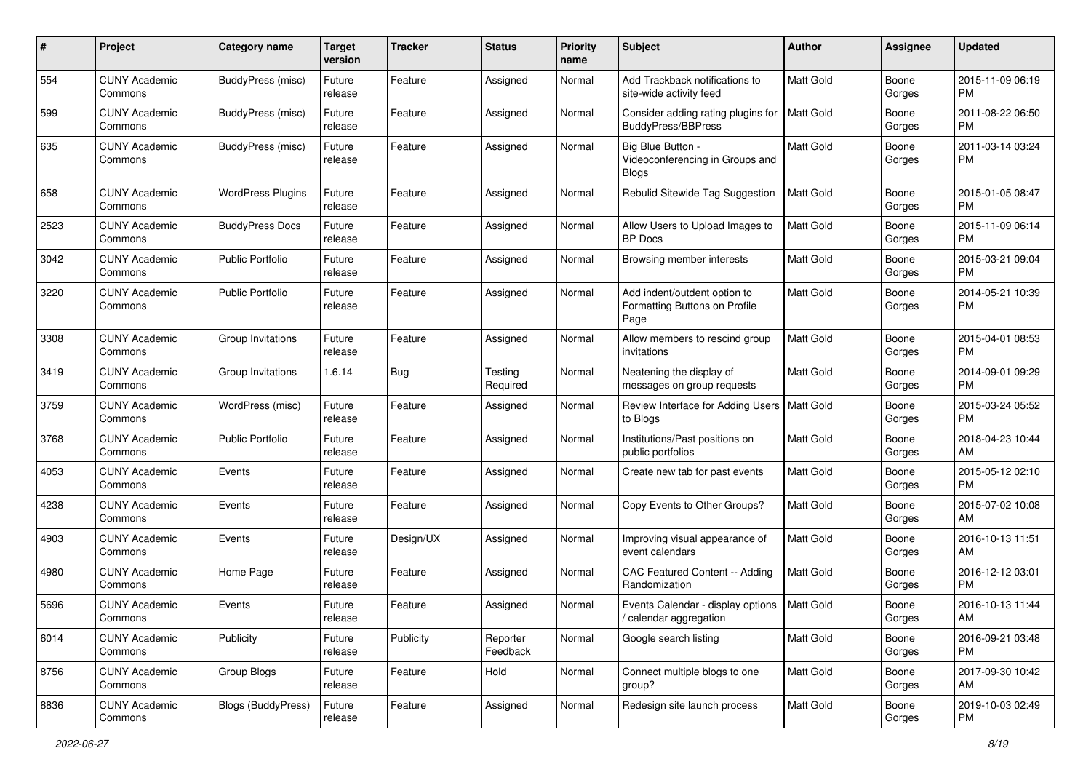| #    | Project                         | <b>Category name</b>     | <b>Target</b><br>version | <b>Tracker</b> | <b>Status</b>        | <b>Priority</b><br>name | Subject                                                               | Author           | <b>Assignee</b> | <b>Updated</b>                |
|------|---------------------------------|--------------------------|--------------------------|----------------|----------------------|-------------------------|-----------------------------------------------------------------------|------------------|-----------------|-------------------------------|
| 554  | <b>CUNY Academic</b><br>Commons | BuddyPress (misc)        | Future<br>release        | Feature        | Assigned             | Normal                  | Add Trackback notifications to<br>site-wide activity feed             | <b>Matt Gold</b> | Boone<br>Gorges | 2015-11-09 06:19<br>PM        |
| 599  | <b>CUNY Academic</b><br>Commons | BuddyPress (misc)        | Future<br>release        | Feature        | Assigned             | Normal                  | Consider adding rating plugins for<br><b>BuddyPress/BBPress</b>       | Matt Gold        | Boone<br>Gorges | 2011-08-22 06:50<br><b>PM</b> |
| 635  | <b>CUNY Academic</b><br>Commons | BuddyPress (misc)        | Future<br>release        | Feature        | Assigned             | Normal                  | Big Blue Button -<br>Videoconferencing in Groups and<br><b>Blogs</b>  | <b>Matt Gold</b> | Boone<br>Gorges | 2011-03-14 03:24<br><b>PM</b> |
| 658  | <b>CUNY Academic</b><br>Commons | <b>WordPress Plugins</b> | Future<br>release        | Feature        | Assigned             | Normal                  | Rebulid Sitewide Tag Suggestion                                       | Matt Gold        | Boone<br>Gorges | 2015-01-05 08:47<br>PM        |
| 2523 | <b>CUNY Academic</b><br>Commons | <b>BuddyPress Docs</b>   | Future<br>release        | Feature        | Assigned             | Normal                  | Allow Users to Upload Images to<br><b>BP</b> Docs                     | Matt Gold        | Boone<br>Gorges | 2015-11-09 06:14<br>PM        |
| 3042 | <b>CUNY Academic</b><br>Commons | <b>Public Portfolio</b>  | Future<br>release        | Feature        | Assigned             | Normal                  | Browsing member interests                                             | Matt Gold        | Boone<br>Gorges | 2015-03-21 09:04<br>PM        |
| 3220 | <b>CUNY Academic</b><br>Commons | <b>Public Portfolio</b>  | Future<br>release        | Feature        | Assigned             | Normal                  | Add indent/outdent option to<br>Formatting Buttons on Profile<br>Page | Matt Gold        | Boone<br>Gorges | 2014-05-21 10:39<br>PM        |
| 3308 | <b>CUNY Academic</b><br>Commons | Group Invitations        | Future<br>release        | Feature        | Assigned             | Normal                  | Allow members to rescind group<br>invitations                         | Matt Gold        | Boone<br>Gorges | 2015-04-01 08:53<br>PM        |
| 3419 | <b>CUNY Academic</b><br>Commons | Group Invitations        | 1.6.14                   | Bug            | Testing<br>Required  | Normal                  | Neatening the display of<br>messages on group requests                | Matt Gold        | Boone<br>Gorges | 2014-09-01 09:29<br>PM        |
| 3759 | <b>CUNY Academic</b><br>Commons | WordPress (misc)         | Future<br>release        | Feature        | Assigned             | Normal                  | Review Interface for Adding Users   Matt Gold<br>to Blogs             |                  | Boone<br>Gorges | 2015-03-24 05:52<br>PM        |
| 3768 | <b>CUNY Academic</b><br>Commons | <b>Public Portfolio</b>  | Future<br>release        | Feature        | Assigned             | Normal                  | Institutions/Past positions on<br>public portfolios                   | <b>Matt Gold</b> | Boone<br>Gorges | 2018-04-23 10:44<br>AM        |
| 4053 | <b>CUNY Academic</b><br>Commons | Events                   | Future<br>release        | Feature        | Assigned             | Normal                  | Create new tab for past events                                        | <b>Matt Gold</b> | Boone<br>Gorges | 2015-05-12 02:10<br><b>PM</b> |
| 4238 | <b>CUNY Academic</b><br>Commons | Events                   | Future<br>release        | Feature        | Assigned             | Normal                  | Copy Events to Other Groups?                                          | <b>Matt Gold</b> | Boone<br>Gorges | 2015-07-02 10:08<br>AM        |
| 4903 | <b>CUNY Academic</b><br>Commons | Events                   | Future<br>release        | Design/UX      | Assigned             | Normal                  | Improving visual appearance of<br>event calendars                     | <b>Matt Gold</b> | Boone<br>Gorges | 2016-10-13 11:51<br>AM        |
| 4980 | <b>CUNY Academic</b><br>Commons | Home Page                | Future<br>release        | Feature        | Assigned             | Normal                  | CAC Featured Content -- Adding<br>Randomization                       | Matt Gold        | Boone<br>Gorges | 2016-12-12 03:01<br>PM        |
| 5696 | <b>CUNY Academic</b><br>Commons | Events                   | Future<br>release        | Feature        | Assigned             | Normal                  | Events Calendar - display options<br>/ calendar aggregation           | Matt Gold        | Boone<br>Gorges | 2016-10-13 11:44<br>AM        |
| 6014 | <b>CUNY Academic</b><br>Commons | Publicity                | Future<br>release        | Publicity      | Reporter<br>Feedback | Normal                  | Google search listing                                                 | Matt Gold        | Boone<br>Gorges | 2016-09-21 03:48<br>PM        |
| 8756 | <b>CUNY Academic</b><br>Commons | Group Blogs              | Future<br>release        | Feature        | Hold                 | Normal                  | Connect multiple blogs to one<br>group?                               | Matt Gold        | Boone<br>Gorges | 2017-09-30 10:42<br>AM        |
| 8836 | <b>CUNY Academic</b><br>Commons | Blogs (BuddyPress)       | Future<br>release        | Feature        | Assigned             | Normal                  | Redesign site launch process                                          | Matt Gold        | Boone<br>Gorges | 2019-10-03 02:49<br>PM        |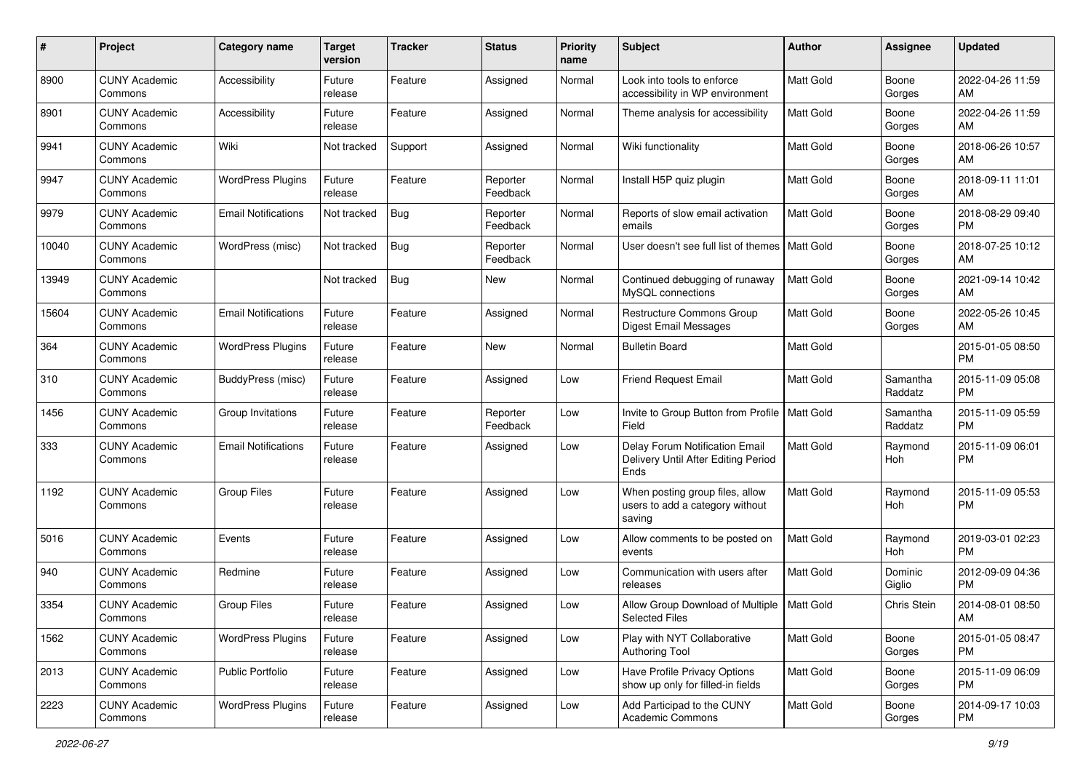| #     | Project                         | <b>Category name</b>       | <b>Target</b><br>version | <b>Tracker</b> | <b>Status</b>        | <b>Priority</b><br>name | Subject                                                                       | Author           | <b>Assignee</b>     | <b>Updated</b>                |
|-------|---------------------------------|----------------------------|--------------------------|----------------|----------------------|-------------------------|-------------------------------------------------------------------------------|------------------|---------------------|-------------------------------|
| 8900  | <b>CUNY Academic</b><br>Commons | Accessibility              | Future<br>release        | Feature        | Assigned             | Normal                  | Look into tools to enforce<br>accessibility in WP environment                 | <b>Matt Gold</b> | Boone<br>Gorges     | 2022-04-26 11:59<br>AM        |
| 8901  | <b>CUNY Academic</b><br>Commons | Accessibility              | Future<br>release        | Feature        | Assigned             | Normal                  | Theme analysis for accessibility                                              | Matt Gold        | Boone<br>Gorges     | 2022-04-26 11:59<br>AM        |
| 9941  | <b>CUNY Academic</b><br>Commons | Wiki                       | Not tracked              | Support        | Assigned             | Normal                  | Wiki functionality                                                            | <b>Matt Gold</b> | Boone<br>Gorges     | 2018-06-26 10:57<br>AM        |
| 9947  | <b>CUNY Academic</b><br>Commons | <b>WordPress Plugins</b>   | Future<br>release        | Feature        | Reporter<br>Feedback | Normal                  | Install H5P quiz plugin                                                       | Matt Gold        | Boone<br>Gorges     | 2018-09-11 11:01<br>AM        |
| 9979  | <b>CUNY Academic</b><br>Commons | <b>Email Notifications</b> | Not tracked              | <b>Bug</b>     | Reporter<br>Feedback | Normal                  | Reports of slow email activation<br>emails                                    | Matt Gold        | Boone<br>Gorges     | 2018-08-29 09:40<br><b>PM</b> |
| 10040 | <b>CUNY Academic</b><br>Commons | WordPress (misc)           | Not tracked              | Bug            | Reporter<br>Feedback | Normal                  | User doesn't see full list of themes   Matt Gold                              |                  | Boone<br>Gorges     | 2018-07-25 10:12<br>AM        |
| 13949 | <b>CUNY Academic</b><br>Commons |                            | Not tracked              | Bug            | New                  | Normal                  | Continued debugging of runaway<br>MySQL connections                           | Matt Gold        | Boone<br>Gorges     | 2021-09-14 10:42<br>AM        |
| 15604 | <b>CUNY Academic</b><br>Commons | <b>Email Notifications</b> | Future<br>release        | Feature        | Assigned             | Normal                  | Restructure Commons Group<br>Digest Email Messages                            | <b>Matt Gold</b> | Boone<br>Gorges     | 2022-05-26 10:45<br>AM        |
| 364   | <b>CUNY Academic</b><br>Commons | <b>WordPress Plugins</b>   | Future<br>release        | Feature        | New                  | Normal                  | <b>Bulletin Board</b>                                                         | Matt Gold        |                     | 2015-01-05 08:50<br><b>PM</b> |
| 310   | <b>CUNY Academic</b><br>Commons | BuddyPress (misc)          | Future<br>release        | Feature        | Assigned             | Low                     | <b>Friend Request Email</b>                                                   | <b>Matt Gold</b> | Samantha<br>Raddatz | 2015-11-09 05:08<br><b>PM</b> |
| 1456  | <b>CUNY Academic</b><br>Commons | Group Invitations          | Future<br>release        | Feature        | Reporter<br>Feedback | Low                     | Invite to Group Button from Profile   Matt Gold<br>Field                      |                  | Samantha<br>Raddatz | 2015-11-09 05:59<br><b>PM</b> |
| 333   | <b>CUNY Academic</b><br>Commons | <b>Email Notifications</b> | Future<br>release        | Feature        | Assigned             | Low                     | Delay Forum Notification Email<br>Delivery Until After Editing Period<br>Ends | Matt Gold        | Raymond<br>Hoh      | 2015-11-09 06:01<br><b>PM</b> |
| 1192  | <b>CUNY Academic</b><br>Commons | <b>Group Files</b>         | Future<br>release        | Feature        | Assigned             | Low                     | When posting group files, allow<br>users to add a category without<br>saving  | <b>Matt Gold</b> | Raymond<br>Hoh      | 2015-11-09 05:53<br><b>PM</b> |
| 5016  | <b>CUNY Academic</b><br>Commons | Events                     | Future<br>release        | Feature        | Assigned             | Low                     | Allow comments to be posted on<br>events                                      | <b>Matt Gold</b> | Raymond<br>Hoh      | 2019-03-01 02:23<br><b>PM</b> |
| 940   | <b>CUNY Academic</b><br>Commons | Redmine                    | Future<br>release        | Feature        | Assigned             | Low                     | Communication with users after<br>releases                                    | Matt Gold        | Dominic<br>Giglio   | 2012-09-09 04:36<br><b>PM</b> |
| 3354  | <b>CUNY Academic</b><br>Commons | <b>Group Files</b>         | Future<br>release        | Feature        | Assigned             | Low                     | Allow Group Download of Multiple   Matt Gold<br><b>Selected Files</b>         |                  | Chris Stein         | 2014-08-01 08:50<br>AM        |
| 1562  | <b>CUNY Academic</b><br>Commons | <b>WordPress Plugins</b>   | Future<br>release        | Feature        | Assigned             | Low                     | Play with NYT Collaborative<br><b>Authoring Tool</b>                          | Matt Gold        | Boone<br>Gorges     | 2015-01-05 08:47<br>PM        |
| 2013  | <b>CUNY Academic</b><br>Commons | <b>Public Portfolio</b>    | Future<br>release        | Feature        | Assigned             | Low                     | Have Profile Privacy Options<br>show up only for filled-in fields             | Matt Gold        | Boone<br>Gorges     | 2015-11-09 06:09<br>PM        |
| 2223  | <b>CUNY Academic</b><br>Commons | <b>WordPress Plugins</b>   | Future<br>release        | Feature        | Assigned             | Low                     | Add Participad to the CUNY<br>Academic Commons                                | Matt Gold        | Boone<br>Gorges     | 2014-09-17 10:03<br><b>PM</b> |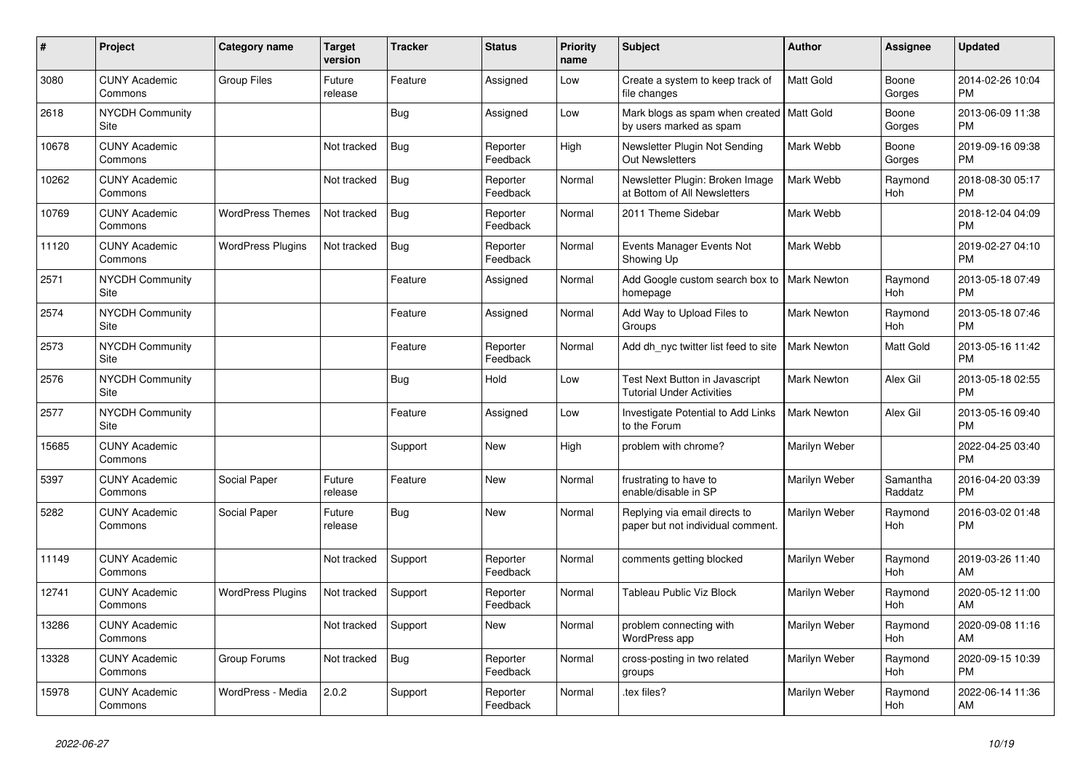| #     | <b>Project</b>                  | Category name            | <b>Target</b><br>version | Tracker    | <b>Status</b>        | <b>Priority</b><br>name | <b>Subject</b>                                                         | <b>Author</b>      | Assignee              | <b>Updated</b>                |
|-------|---------------------------------|--------------------------|--------------------------|------------|----------------------|-------------------------|------------------------------------------------------------------------|--------------------|-----------------------|-------------------------------|
| 3080  | <b>CUNY Academic</b><br>Commons | <b>Group Files</b>       | Future<br>release        | Feature    | Assigned             | Low                     | Create a system to keep track of<br>file changes                       | <b>Matt Gold</b>   | Boone<br>Gorges       | 2014-02-26 10:04<br><b>PM</b> |
| 2618  | <b>NYCDH Community</b><br>Site  |                          |                          | <b>Bug</b> | Assigned             | Low                     | Mark blogs as spam when created   Matt Gold<br>by users marked as spam |                    | Boone<br>Gorges       | 2013-06-09 11:38<br><b>PM</b> |
| 10678 | <b>CUNY Academic</b><br>Commons |                          | Not tracked              | Bug        | Reporter<br>Feedback | High                    | Newsletter Plugin Not Sending<br><b>Out Newsletters</b>                | Mark Webb          | Boone<br>Gorges       | 2019-09-16 09:38<br><b>PM</b> |
| 10262 | <b>CUNY Academic</b><br>Commons |                          | Not tracked              | <b>Bug</b> | Reporter<br>Feedback | Normal                  | Newsletter Plugin: Broken Image<br>at Bottom of All Newsletters        | Mark Webb          | Raymond<br><b>Hoh</b> | 2018-08-30 05:17<br><b>PM</b> |
| 10769 | <b>CUNY Academic</b><br>Commons | <b>WordPress Themes</b>  | Not tracked              | <b>Bug</b> | Reporter<br>Feedback | Normal                  | 2011 Theme Sidebar                                                     | Mark Webb          |                       | 2018-12-04 04:09<br><b>PM</b> |
| 11120 | <b>CUNY Academic</b><br>Commons | <b>WordPress Plugins</b> | Not tracked              | Bug        | Reporter<br>Feedback | Normal                  | Events Manager Events Not<br>Showing Up                                | Mark Webb          |                       | 2019-02-27 04:10<br><b>PM</b> |
| 2571  | <b>NYCDH Community</b><br>Site  |                          |                          | Feature    | Assigned             | Normal                  | Add Google custom search box to<br>homepage                            | <b>Mark Newton</b> | Raymond<br><b>Hoh</b> | 2013-05-18 07:49<br><b>PM</b> |
| 2574  | <b>NYCDH Community</b><br>Site  |                          |                          | Feature    | Assigned             | Normal                  | Add Way to Upload Files to<br>Groups                                   | <b>Mark Newton</b> | Raymond<br>Hoh        | 2013-05-18 07:46<br><b>PM</b> |
| 2573  | <b>NYCDH Community</b><br>Site  |                          |                          | Feature    | Reporter<br>Feedback | Normal                  | Add dh nyc twitter list feed to site                                   | <b>Mark Newton</b> | Matt Gold             | 2013-05-16 11:42<br><b>PM</b> |
| 2576  | NYCDH Community<br>Site         |                          |                          | <b>Bug</b> | Hold                 | Low                     | Test Next Button in Javascript<br><b>Tutorial Under Activities</b>     | <b>Mark Newton</b> | Alex Gil              | 2013-05-18 02:55<br><b>PM</b> |
| 2577  | <b>NYCDH Community</b><br>Site  |                          |                          | Feature    | Assigned             | Low                     | Investigate Potential to Add Links<br>to the Forum                     | <b>Mark Newton</b> | Alex Gil              | 2013-05-16 09:40<br><b>PM</b> |
| 15685 | <b>CUNY Academic</b><br>Commons |                          |                          | Support    | New                  | High                    | problem with chrome?                                                   | Marilyn Weber      |                       | 2022-04-25 03:40<br><b>PM</b> |
| 5397  | <b>CUNY Academic</b><br>Commons | Social Paper             | Future<br>release        | Feature    | <b>New</b>           | Normal                  | frustrating to have to<br>enable/disable in SP                         | Marilyn Weber      | Samantha<br>Raddatz   | 2016-04-20 03:39<br><b>PM</b> |
| 5282  | <b>CUNY Academic</b><br>Commons | Social Paper             | Future<br>release        | Bug        | <b>New</b>           | Normal                  | Replying via email directs to<br>paper but not individual comment.     | Marilyn Weber      | Raymond<br>Hoh        | 2016-03-02 01:48<br><b>PM</b> |
| 11149 | <b>CUNY Academic</b><br>Commons |                          | Not tracked              | Support    | Reporter<br>Feedback | Normal                  | comments getting blocked                                               | Marilyn Weber      | Raymond<br><b>Hoh</b> | 2019-03-26 11:40<br>AM        |
| 12741 | <b>CUNY Academic</b><br>Commons | <b>WordPress Plugins</b> | Not tracked              | Support    | Reporter<br>Feedback | Normal                  | Tableau Public Viz Block                                               | Marilyn Weber      | Raymond<br><b>Hoh</b> | 2020-05-12 11:00<br>AM        |
| 13286 | <b>CUNY Academic</b><br>Commons |                          | Not tracked              | Support    | <b>New</b>           | Normal                  | problem connecting with<br>WordPress app                               | Marilyn Weber      | Raymond<br>Hoh        | 2020-09-08 11:16<br>AM        |
| 13328 | <b>CUNY Academic</b><br>Commons | Group Forums             | Not tracked              | Bug        | Reporter<br>Feedback | Normal                  | cross-posting in two related<br>groups                                 | Marilyn Weber      | Raymond<br>Hoh        | 2020-09-15 10:39<br><b>PM</b> |
| 15978 | <b>CUNY Academic</b><br>Commons | WordPress - Media        | 2.0.2                    | Support    | Reporter<br>Feedback | Normal                  | tex files?                                                             | Marilyn Weber      | Raymond<br>Hoh        | 2022-06-14 11:36<br>AM        |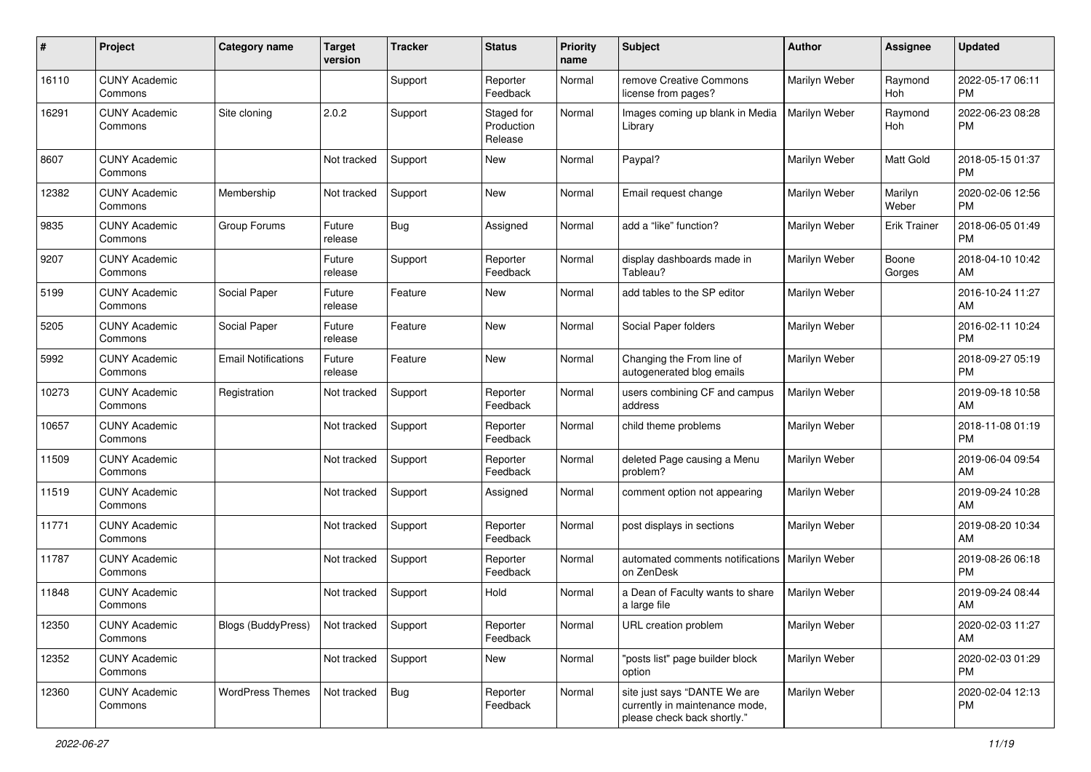| #     | Project                         | <b>Category name</b>       | <b>Target</b><br>version | <b>Tracker</b> | <b>Status</b>                       | <b>Priority</b><br>name | <b>Subject</b>                                                                                | <b>Author</b> | <b>Assignee</b>       | <b>Updated</b>                |
|-------|---------------------------------|----------------------------|--------------------------|----------------|-------------------------------------|-------------------------|-----------------------------------------------------------------------------------------------|---------------|-----------------------|-------------------------------|
| 16110 | <b>CUNY Academic</b><br>Commons |                            |                          | Support        | Reporter<br>Feedback                | Normal                  | remove Creative Commons<br>license from pages?                                                | Marilyn Weber | Raymond<br>Hoh        | 2022-05-17 06:11<br><b>PM</b> |
| 16291 | <b>CUNY Academic</b><br>Commons | Site cloning               | 2.0.2                    | Support        | Staged for<br>Production<br>Release | Normal                  | Images coming up blank in Media<br>Library                                                    | Marilyn Weber | Raymond<br><b>Hoh</b> | 2022-06-23 08:28<br><b>PM</b> |
| 8607  | <b>CUNY Academic</b><br>Commons |                            | Not tracked              | Support        | <b>New</b>                          | Normal                  | Paypal?                                                                                       | Marilyn Weber | <b>Matt Gold</b>      | 2018-05-15 01:37<br><b>PM</b> |
| 12382 | <b>CUNY Academic</b><br>Commons | Membership                 | Not tracked              | Support        | <b>New</b>                          | Normal                  | Email request change                                                                          | Marilyn Weber | Marilyn<br>Weber      | 2020-02-06 12:56<br><b>PM</b> |
| 9835  | <b>CUNY Academic</b><br>Commons | Group Forums               | Future<br>release        | <b>Bug</b>     | Assigned                            | Normal                  | add a "like" function?                                                                        | Marilyn Weber | <b>Erik Trainer</b>   | 2018-06-05 01:49<br><b>PM</b> |
| 9207  | <b>CUNY Academic</b><br>Commons |                            | Future<br>release        | Support        | Reporter<br>Feedback                | Normal                  | display dashboards made in<br>Tableau?                                                        | Marilyn Weber | Boone<br>Gorges       | 2018-04-10 10:42<br>AM        |
| 5199  | <b>CUNY Academic</b><br>Commons | Social Paper               | Future<br>release        | Feature        | <b>New</b>                          | Normal                  | add tables to the SP editor                                                                   | Marilyn Weber |                       | 2016-10-24 11:27<br>AM        |
| 5205  | <b>CUNY Academic</b><br>Commons | Social Paper               | Future<br>release        | Feature        | <b>New</b>                          | Normal                  | Social Paper folders                                                                          | Marilyn Weber |                       | 2016-02-11 10:24<br><b>PM</b> |
| 5992  | <b>CUNY Academic</b><br>Commons | <b>Email Notifications</b> | Future<br>release        | Feature        | <b>New</b>                          | Normal                  | Changing the From line of<br>autogenerated blog emails                                        | Marilyn Weber |                       | 2018-09-27 05:19<br><b>PM</b> |
| 10273 | <b>CUNY Academic</b><br>Commons | Registration               | Not tracked              | Support        | Reporter<br>Feedback                | Normal                  | users combining CF and campus<br>address                                                      | Marilyn Weber |                       | 2019-09-18 10:58<br>AM        |
| 10657 | <b>CUNY Academic</b><br>Commons |                            | Not tracked              | Support        | Reporter<br>Feedback                | Normal                  | child theme problems                                                                          | Marilyn Weber |                       | 2018-11-08 01:19<br><b>PM</b> |
| 11509 | <b>CUNY Academic</b><br>Commons |                            | Not tracked              | Support        | Reporter<br>Feedback                | Normal                  | deleted Page causing a Menu<br>problem?                                                       | Marilyn Weber |                       | 2019-06-04 09:54<br>AM        |
| 11519 | <b>CUNY Academic</b><br>Commons |                            | Not tracked              | Support        | Assigned                            | Normal                  | comment option not appearing                                                                  | Marilyn Weber |                       | 2019-09-24 10:28<br>AM        |
| 11771 | <b>CUNY Academic</b><br>Commons |                            | Not tracked              | Support        | Reporter<br>Feedback                | Normal                  | post displays in sections                                                                     | Marilyn Weber |                       | 2019-08-20 10:34<br>AM        |
| 11787 | <b>CUNY Academic</b><br>Commons |                            | Not tracked              | Support        | Reporter<br>Feedback                | Normal                  | automated comments notifications<br>on ZenDesk                                                | Marilyn Weber |                       | 2019-08-26 06:18<br><b>PM</b> |
| 11848 | <b>CUNY Academic</b><br>Commons |                            | Not tracked              | Support        | Hold                                | Normal                  | a Dean of Faculty wants to share<br>a large file                                              | Marilyn Weber |                       | 2019-09-24 08:44<br>AM        |
| 12350 | <b>CUNY Academic</b><br>Commons | Blogs (BuddyPress)         | Not tracked              | Support        | Reporter<br>Feedback                | Normal                  | URL creation problem                                                                          | Marilyn Weber |                       | 2020-02-03 11:27<br>AM        |
| 12352 | <b>CUNY Academic</b><br>Commons |                            | Not tracked              | Support        | New                                 | Normal                  | "posts list" page builder block<br>option                                                     | Marilyn Weber |                       | 2020-02-03 01:29<br><b>PM</b> |
| 12360 | <b>CUNY Academic</b><br>Commons | <b>WordPress Themes</b>    | Not tracked              | Bug            | Reporter<br>Feedback                | Normal                  | site just says "DANTE We are<br>currently in maintenance mode,<br>please check back shortly." | Marilyn Weber |                       | 2020-02-04 12:13<br><b>PM</b> |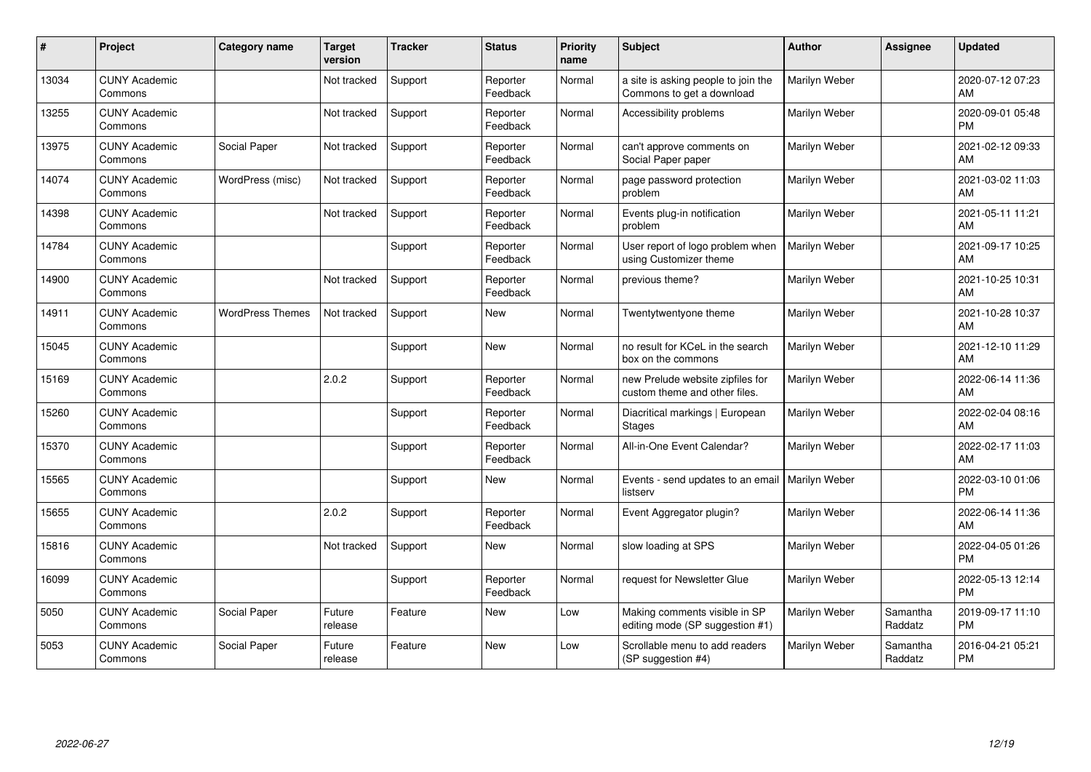| $\#$  | Project                         | <b>Category name</b>    | <b>Target</b><br>version | Tracker | <b>Status</b>        | <b>Priority</b><br>name | <b>Subject</b>                                                    | Author        | Assignee            | <b>Updated</b>                |
|-------|---------------------------------|-------------------------|--------------------------|---------|----------------------|-------------------------|-------------------------------------------------------------------|---------------|---------------------|-------------------------------|
| 13034 | <b>CUNY Academic</b><br>Commons |                         | Not tracked              | Support | Reporter<br>Feedback | Normal                  | a site is asking people to join the<br>Commons to get a download  | Marilyn Weber |                     | 2020-07-12 07:23<br>AM        |
| 13255 | <b>CUNY Academic</b><br>Commons |                         | Not tracked              | Support | Reporter<br>Feedback | Normal                  | Accessibility problems                                            | Marilyn Weber |                     | 2020-09-01 05:48<br><b>PM</b> |
| 13975 | <b>CUNY Academic</b><br>Commons | Social Paper            | Not tracked              | Support | Reporter<br>Feedback | Normal                  | can't approve comments on<br>Social Paper paper                   | Marilyn Weber |                     | 2021-02-12 09:33<br>AM        |
| 14074 | <b>CUNY Academic</b><br>Commons | WordPress (misc)        | Not tracked              | Support | Reporter<br>Feedback | Normal                  | page password protection<br>problem                               | Marilyn Weber |                     | 2021-03-02 11:03<br>AM        |
| 14398 | <b>CUNY Academic</b><br>Commons |                         | Not tracked              | Support | Reporter<br>Feedback | Normal                  | Events plug-in notification<br>problem                            | Marilyn Weber |                     | 2021-05-11 11:21<br>AM        |
| 14784 | <b>CUNY Academic</b><br>Commons |                         |                          | Support | Reporter<br>Feedback | Normal                  | User report of logo problem when<br>using Customizer theme        | Marilyn Weber |                     | 2021-09-17 10:25<br>AM        |
| 14900 | <b>CUNY Academic</b><br>Commons |                         | Not tracked              | Support | Reporter<br>Feedback | Normal                  | previous theme?                                                   | Marilyn Weber |                     | 2021-10-25 10:31<br>AM        |
| 14911 | <b>CUNY Academic</b><br>Commons | <b>WordPress Themes</b> | Not tracked              | Support | New                  | Normal                  | Twentytwentyone theme                                             | Marilyn Weber |                     | 2021-10-28 10:37<br>AM        |
| 15045 | <b>CUNY Academic</b><br>Commons |                         |                          | Support | New                  | Normal                  | no result for KCeL in the search<br>box on the commons            | Marilyn Weber |                     | 2021-12-10 11:29<br>AM        |
| 15169 | <b>CUNY Academic</b><br>Commons |                         | 2.0.2                    | Support | Reporter<br>Feedback | Normal                  | new Prelude website zipfiles for<br>custom theme and other files. | Marilyn Weber |                     | 2022-06-14 11:36<br>AM        |
| 15260 | <b>CUNY Academic</b><br>Commons |                         |                          | Support | Reporter<br>Feedback | Normal                  | Diacritical markings   European<br><b>Stages</b>                  | Marilyn Weber |                     | 2022-02-04 08:16<br>AM        |
| 15370 | <b>CUNY Academic</b><br>Commons |                         |                          | Support | Reporter<br>Feedback | Normal                  | All-in-One Event Calendar?                                        | Marilyn Weber |                     | 2022-02-17 11:03<br>AM        |
| 15565 | <b>CUNY Academic</b><br>Commons |                         |                          | Support | <b>New</b>           | Normal                  | Events - send updates to an email<br>listserv                     | Marilyn Weber |                     | 2022-03-10 01:06<br><b>PM</b> |
| 15655 | <b>CUNY Academic</b><br>Commons |                         | 2.0.2                    | Support | Reporter<br>Feedback | Normal                  | Event Aggregator plugin?                                          | Marilyn Weber |                     | 2022-06-14 11:36<br>AM        |
| 15816 | <b>CUNY Academic</b><br>Commons |                         | Not tracked              | Support | New                  | Normal                  | slow loading at SPS                                               | Marilyn Weber |                     | 2022-04-05 01:26<br><b>PM</b> |
| 16099 | <b>CUNY Academic</b><br>Commons |                         |                          | Support | Reporter<br>Feedback | Normal                  | request for Newsletter Glue                                       | Marilyn Weber |                     | 2022-05-13 12:14<br><b>PM</b> |
| 5050  | <b>CUNY Academic</b><br>Commons | Social Paper            | Future<br>release        | Feature | <b>New</b>           | Low                     | Making comments visible in SP<br>editing mode (SP suggestion #1)  | Marilyn Weber | Samantha<br>Raddatz | 2019-09-17 11:10<br><b>PM</b> |
| 5053  | <b>CUNY Academic</b><br>Commons | Social Paper            | Future<br>release        | Feature | New                  | Low                     | Scrollable menu to add readers<br>(SP suggestion #4)              | Marilyn Weber | Samantha<br>Raddatz | 2016-04-21 05:21<br><b>PM</b> |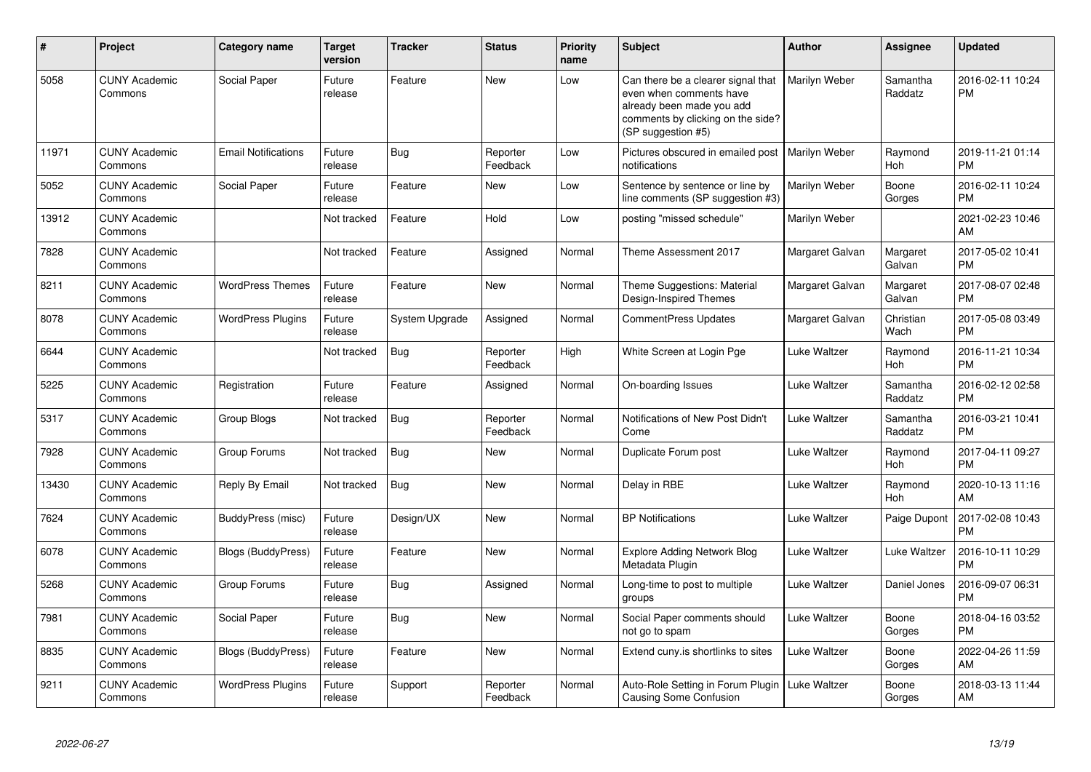| #     | <b>Project</b>                  | <b>Category name</b>       | <b>Target</b><br>version | <b>Tracker</b> | <b>Status</b>        | <b>Priority</b><br>name | <b>Subject</b>                                                                                                                                        | Author          | <b>Assignee</b>       | <b>Updated</b>                |
|-------|---------------------------------|----------------------------|--------------------------|----------------|----------------------|-------------------------|-------------------------------------------------------------------------------------------------------------------------------------------------------|-----------------|-----------------------|-------------------------------|
| 5058  | <b>CUNY Academic</b><br>Commons | Social Paper               | Future<br>release        | Feature        | <b>New</b>           | Low                     | Can there be a clearer signal that<br>even when comments have<br>already been made you add<br>comments by clicking on the side?<br>(SP suggestion #5) | Marilyn Weber   | Samantha<br>Raddatz   | 2016-02-11 10:24<br><b>PM</b> |
| 11971 | <b>CUNY Academic</b><br>Commons | <b>Email Notifications</b> | Future<br>release        | Bug            | Reporter<br>Feedback | Low                     | Pictures obscured in emailed post   Marilyn Weber<br>notifications                                                                                    |                 | Raymond<br><b>Hoh</b> | 2019-11-21 01:14<br><b>PM</b> |
| 5052  | <b>CUNY Academic</b><br>Commons | Social Paper               | Future<br>release        | Feature        | <b>New</b>           | Low                     | Sentence by sentence or line by<br>line comments (SP suggestion #3)                                                                                   | Marilyn Weber   | Boone<br>Gorges       | 2016-02-11 10:24<br><b>PM</b> |
| 13912 | <b>CUNY Academic</b><br>Commons |                            | Not tracked              | Feature        | Hold                 | Low                     | posting "missed schedule"                                                                                                                             | Marilyn Weber   |                       | 2021-02-23 10:46<br>AM        |
| 7828  | <b>CUNY Academic</b><br>Commons |                            | Not tracked              | Feature        | Assigned             | Normal                  | Theme Assessment 2017                                                                                                                                 | Margaret Galvan | Margaret<br>Galvan    | 2017-05-02 10:41<br><b>PM</b> |
| 8211  | <b>CUNY Academic</b><br>Commons | <b>WordPress Themes</b>    | Future<br>release        | Feature        | <b>New</b>           | Normal                  | Theme Suggestions: Material<br>Design-Inspired Themes                                                                                                 | Margaret Galvan | Margaret<br>Galvan    | 2017-08-07 02:48<br><b>PM</b> |
| 8078  | <b>CUNY Academic</b><br>Commons | <b>WordPress Plugins</b>   | Future<br>release        | System Upgrade | Assigned             | Normal                  | <b>CommentPress Updates</b>                                                                                                                           | Margaret Galvan | Christian<br>Wach     | 2017-05-08 03:49<br><b>PM</b> |
| 6644  | <b>CUNY Academic</b><br>Commons |                            | Not tracked              | <b>Bug</b>     | Reporter<br>Feedback | High                    | White Screen at Login Pge                                                                                                                             | Luke Waltzer    | Raymond<br>Hoh        | 2016-11-21 10:34<br><b>PM</b> |
| 5225  | <b>CUNY Academic</b><br>Commons | Registration               | Future<br>release        | Feature        | Assigned             | Normal                  | On-boarding Issues                                                                                                                                    | Luke Waltzer    | Samantha<br>Raddatz   | 2016-02-12 02:58<br><b>PM</b> |
| 5317  | <b>CUNY Academic</b><br>Commons | Group Blogs                | Not tracked              | <b>Bug</b>     | Reporter<br>Feedback | Normal                  | Notifications of New Post Didn't<br>Come                                                                                                              | Luke Waltzer    | Samantha<br>Raddatz   | 2016-03-21 10:41<br><b>PM</b> |
| 7928  | <b>CUNY Academic</b><br>Commons | Group Forums               | Not tracked              | <b>Bug</b>     | <b>New</b>           | Normal                  | Duplicate Forum post                                                                                                                                  | Luke Waltzer    | Raymond<br>Hoh        | 2017-04-11 09:27<br><b>PM</b> |
| 13430 | <b>CUNY Academic</b><br>Commons | Reply By Email             | Not tracked              | <b>Bug</b>     | <b>New</b>           | Normal                  | Delay in RBE                                                                                                                                          | Luke Waltzer    | Raymond<br><b>Hoh</b> | 2020-10-13 11:16<br>AM        |
| 7624  | <b>CUNY Academic</b><br>Commons | BuddyPress (misc)          | Future<br>release        | Design/UX      | New                  | Normal                  | <b>BP Notifications</b>                                                                                                                               | Luke Waltzer    | Paige Dupont          | 2017-02-08 10:43<br><b>PM</b> |
| 6078  | <b>CUNY Academic</b><br>Commons | <b>Blogs (BuddyPress)</b>  | Future<br>release        | Feature        | <b>New</b>           | Normal                  | <b>Explore Adding Network Blog</b><br>Metadata Plugin                                                                                                 | Luke Waltzer    | Luke Waltzer          | 2016-10-11 10:29<br><b>PM</b> |
| 5268  | <b>CUNY Academic</b><br>Commons | Group Forums               | Future<br>release        | Bug            | Assigned             | Normal                  | Long-time to post to multiple<br>groups                                                                                                               | Luke Waltzer    | Daniel Jones          | 2016-09-07 06:31<br><b>PM</b> |
| 7981  | <b>CUNY Academic</b><br>Commons | Social Paper               | Future<br>release        | Bug            | New                  | Normal                  | Social Paper comments should<br>not go to spam                                                                                                        | Luke Waltzer    | Boone<br>Gorges       | 2018-04-16 03:52<br><b>PM</b> |
| 8835  | <b>CUNY Academic</b><br>Commons | <b>Blogs (BuddyPress)</b>  | Future<br>release        | Feature        | <b>New</b>           | Normal                  | Extend cuny.is shortlinks to sites                                                                                                                    | Luke Waltzer    | Boone<br>Gorges       | 2022-04-26 11:59<br>AM        |
| 9211  | <b>CUNY Academic</b><br>Commons | <b>WordPress Plugins</b>   | Future<br>release        | Support        | Reporter<br>Feedback | Normal                  | Auto-Role Setting in Forum Plugin<br>Causing Some Confusion                                                                                           | Luke Waltzer    | Boone<br>Gorges       | 2018-03-13 11:44<br>AM        |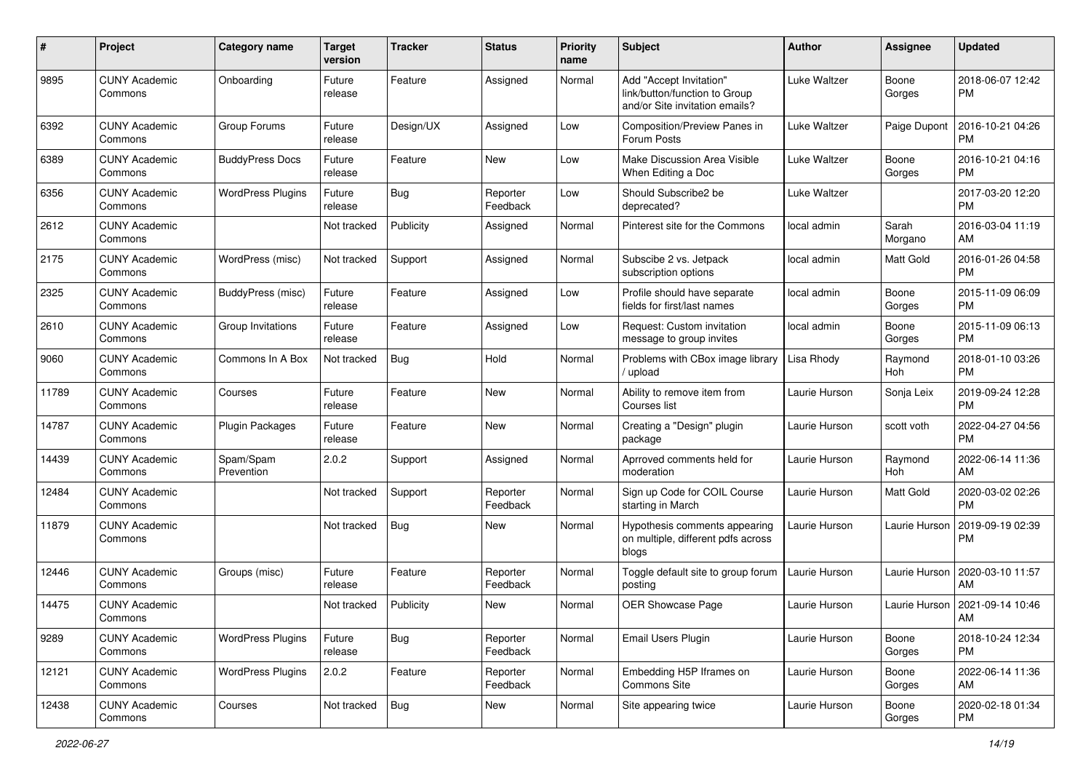| #     | Project                         | <b>Category name</b>     | Target<br>version | <b>Tracker</b> | <b>Status</b>        | <b>Priority</b><br>name | <b>Subject</b>                                                                             | <b>Author</b> | Assignee         | <b>Updated</b>                |
|-------|---------------------------------|--------------------------|-------------------|----------------|----------------------|-------------------------|--------------------------------------------------------------------------------------------|---------------|------------------|-------------------------------|
| 9895  | <b>CUNY Academic</b><br>Commons | Onboarding               | Future<br>release | Feature        | Assigned             | Normal                  | Add "Accept Invitation"<br>link/button/function to Group<br>and/or Site invitation emails? | Luke Waltzer  | Boone<br>Gorges  | 2018-06-07 12:42<br><b>PM</b> |
| 6392  | <b>CUNY Academic</b><br>Commons | Group Forums             | Future<br>release | Design/UX      | Assigned             | Low                     | Composition/Preview Panes in<br>Forum Posts                                                | Luke Waltzer  | Paige Dupont     | 2016-10-21 04:26<br>PM        |
| 6389  | <b>CUNY Academic</b><br>Commons | <b>BuddyPress Docs</b>   | Future<br>release | Feature        | New                  | Low                     | Make Discussion Area Visible<br>When Editing a Doc                                         | Luke Waltzer  | Boone<br>Gorges  | 2016-10-21 04:16<br><b>PM</b> |
| 6356  | <b>CUNY Academic</b><br>Commons | <b>WordPress Plugins</b> | Future<br>release | Bug            | Reporter<br>Feedback | Low                     | Should Subscribe2 be<br>deprecated?                                                        | Luke Waltzer  |                  | 2017-03-20 12:20<br><b>PM</b> |
| 2612  | <b>CUNY Academic</b><br>Commons |                          | Not tracked       | Publicity      | Assigned             | Normal                  | Pinterest site for the Commons                                                             | local admin   | Sarah<br>Morgano | 2016-03-04 11:19<br>AM        |
| 2175  | <b>CUNY Academic</b><br>Commons | WordPress (misc)         | Not tracked       | Support        | Assigned             | Normal                  | Subscibe 2 vs. Jetpack<br>subscription options                                             | local admin   | <b>Matt Gold</b> | 2016-01-26 04:58<br><b>PM</b> |
| 2325  | <b>CUNY Academic</b><br>Commons | BuddyPress (misc)        | Future<br>release | Feature        | Assigned             | Low                     | Profile should have separate<br>fields for first/last names                                | local admin   | Boone<br>Gorges  | 2015-11-09 06:09<br><b>PM</b> |
| 2610  | <b>CUNY Academic</b><br>Commons | Group Invitations        | Future<br>release | Feature        | Assigned             | Low                     | Request: Custom invitation<br>message to group invites                                     | local admin   | Boone<br>Gorges  | 2015-11-09 06:13<br><b>PM</b> |
| 9060  | <b>CUNY Academic</b><br>Commons | Commons In A Box         | Not tracked       | Bug            | Hold                 | Normal                  | Problems with CBox image library<br>upload                                                 | Lisa Rhody    | Raymond<br>Hoh   | 2018-01-10 03:26<br><b>PM</b> |
| 11789 | <b>CUNY Academic</b><br>Commons | Courses                  | Future<br>release | Feature        | New                  | Normal                  | Ability to remove item from<br>Courses list                                                | Laurie Hurson | Sonja Leix       | 2019-09-24 12:28<br><b>PM</b> |
| 14787 | <b>CUNY Academic</b><br>Commons | Plugin Packages          | Future<br>release | Feature        | <b>New</b>           | Normal                  | Creating a "Design" plugin<br>package                                                      | Laurie Hurson | scott voth       | 2022-04-27 04:56<br><b>PM</b> |
| 14439 | <b>CUNY Academic</b><br>Commons | Spam/Spam<br>Prevention  | 2.0.2             | Support        | Assigned             | Normal                  | Aprroved comments held for<br>moderation                                                   | Laurie Hurson | Raymond<br>Hoh   | 2022-06-14 11:36<br>AM        |
| 12484 | <b>CUNY Academic</b><br>Commons |                          | Not tracked       | Support        | Reporter<br>Feedback | Normal                  | Sign up Code for COIL Course<br>starting in March                                          | Laurie Hurson | <b>Matt Gold</b> | 2020-03-02 02:26<br><b>PM</b> |
| 11879 | <b>CUNY Academic</b><br>Commons |                          | Not tracked       | <b>Bug</b>     | New                  | Normal                  | Hypothesis comments appearing<br>on multiple, different pdfs across<br>blogs               | Laurie Hurson | Laurie Hurson    | 2019-09-19 02:39<br>PM        |
| 12446 | <b>CUNY Academic</b><br>Commons | Groups (misc)            | Future<br>release | Feature        | Reporter<br>Feedback | Normal                  | Toggle default site to group forum<br>posting                                              | Laurie Hurson | Laurie Hurson    | 2020-03-10 11:57<br>AM        |
| 14475 | <b>CUNY Academic</b><br>Commons |                          | Not tracked       | Publicity      | New                  | Normal                  | OER Showcase Page                                                                          | Laurie Hurson | Laurie Hurson    | 2021-09-14 10:46<br>AM        |
| 9289  | <b>CUNY Academic</b><br>Commons | <b>WordPress Plugins</b> | Future<br>release | Bug            | Reporter<br>Feedback | Normal                  | Email Users Plugin                                                                         | Laurie Hurson | Boone<br>Gorges  | 2018-10-24 12:34<br><b>PM</b> |
| 12121 | <b>CUNY Academic</b><br>Commons | <b>WordPress Plugins</b> | 2.0.2             | Feature        | Reporter<br>Feedback | Normal                  | Embedding H5P Iframes on<br>Commons Site                                                   | Laurie Hurson | Boone<br>Gorges  | 2022-06-14 11:36<br>AM        |
| 12438 | <b>CUNY Academic</b><br>Commons | Courses                  | Not tracked       | Bug            | New                  | Normal                  | Site appearing twice                                                                       | Laurie Hurson | Boone<br>Gorges  | 2020-02-18 01:34<br>PM        |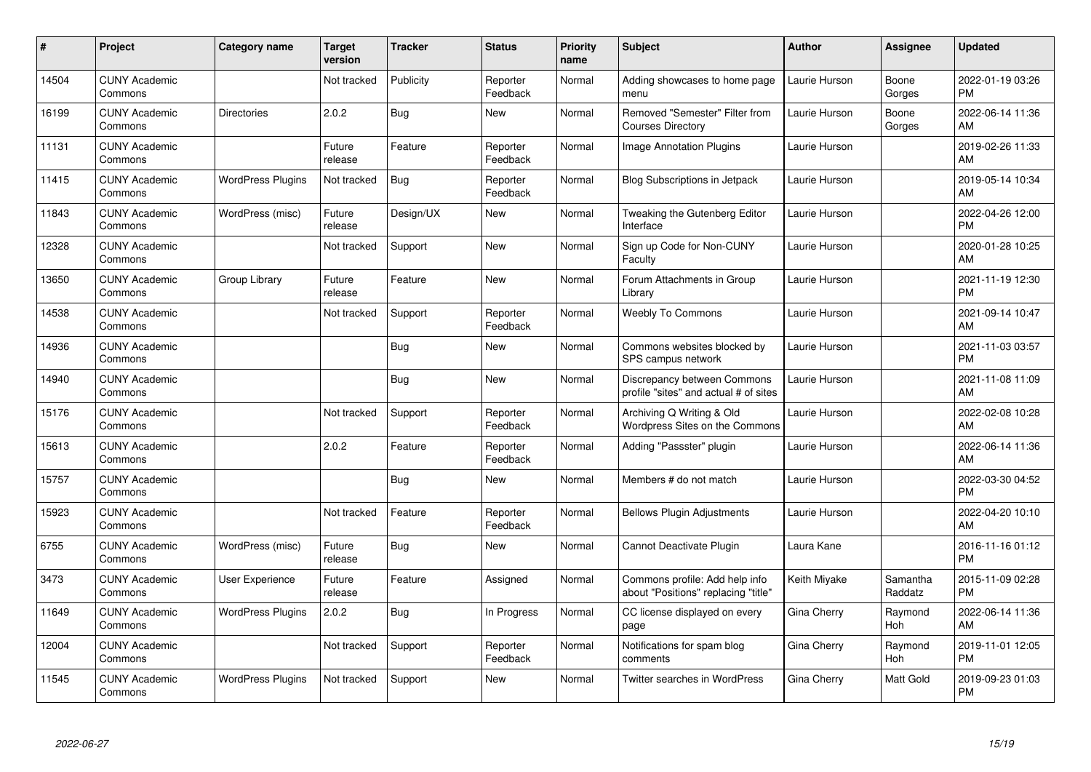| #     | Project                         | <b>Category name</b>     | <b>Target</b><br>version | <b>Tracker</b> | <b>Status</b>        | <b>Priority</b><br>name | <b>Subject</b>                                                        | <b>Author</b> | <b>Assignee</b>       | <b>Updated</b>                |
|-------|---------------------------------|--------------------------|--------------------------|----------------|----------------------|-------------------------|-----------------------------------------------------------------------|---------------|-----------------------|-------------------------------|
| 14504 | <b>CUNY Academic</b><br>Commons |                          | Not tracked              | Publicity      | Reporter<br>Feedback | Normal                  | Adding showcases to home page<br>menu                                 | Laurie Hurson | Boone<br>Gorges       | 2022-01-19 03:26<br><b>PM</b> |
| 16199 | <b>CUNY Academic</b><br>Commons | <b>Directories</b>       | 2.0.2                    | <b>Bug</b>     | New                  | Normal                  | Removed "Semester" Filter from<br><b>Courses Directory</b>            | Laurie Hurson | Boone<br>Gorges       | 2022-06-14 11:36<br>AM        |
| 11131 | <b>CUNY Academic</b><br>Commons |                          | Future<br>release        | Feature        | Reporter<br>Feedback | Normal                  | <b>Image Annotation Plugins</b>                                       | Laurie Hurson |                       | 2019-02-26 11:33<br>AM        |
| 11415 | <b>CUNY Academic</b><br>Commons | <b>WordPress Plugins</b> | Not tracked              | <b>Bug</b>     | Reporter<br>Feedback | Normal                  | <b>Blog Subscriptions in Jetpack</b>                                  | Laurie Hurson |                       | 2019-05-14 10:34<br>AM        |
| 11843 | <b>CUNY Academic</b><br>Commons | WordPress (misc)         | Future<br>release        | Design/UX      | <b>New</b>           | Normal                  | Tweaking the Gutenberg Editor<br>Interface                            | Laurie Hurson |                       | 2022-04-26 12:00<br><b>PM</b> |
| 12328 | <b>CUNY Academic</b><br>Commons |                          | Not tracked              | Support        | <b>New</b>           | Normal                  | Sign up Code for Non-CUNY<br>Faculty                                  | Laurie Hurson |                       | 2020-01-28 10:25<br>AM        |
| 13650 | <b>CUNY Academic</b><br>Commons | Group Library            | Future<br>release        | Feature        | <b>New</b>           | Normal                  | Forum Attachments in Group<br>Library                                 | Laurie Hurson |                       | 2021-11-19 12:30<br><b>PM</b> |
| 14538 | <b>CUNY Academic</b><br>Commons |                          | Not tracked              | Support        | Reporter<br>Feedback | Normal                  | Weebly To Commons                                                     | Laurie Hurson |                       | 2021-09-14 10:47<br>AM        |
| 14936 | <b>CUNY Academic</b><br>Commons |                          |                          | <b>Bug</b>     | <b>New</b>           | Normal                  | Commons websites blocked by<br>SPS campus network                     | Laurie Hurson |                       | 2021-11-03 03:57<br><b>PM</b> |
| 14940 | <b>CUNY Academic</b><br>Commons |                          |                          | <b>Bug</b>     | <b>New</b>           | Normal                  | Discrepancy between Commons<br>profile "sites" and actual # of sites  | Laurie Hurson |                       | 2021-11-08 11:09<br>AM        |
| 15176 | <b>CUNY Academic</b><br>Commons |                          | Not tracked              | Support        | Reporter<br>Feedback | Normal                  | Archiving Q Writing & Old<br>Wordpress Sites on the Commons           | Laurie Hurson |                       | 2022-02-08 10:28<br>AM        |
| 15613 | <b>CUNY Academic</b><br>Commons |                          | 2.0.2                    | Feature        | Reporter<br>Feedback | Normal                  | Adding "Passster" plugin                                              | Laurie Hurson |                       | 2022-06-14 11:36<br>AM        |
| 15757 | <b>CUNY Academic</b><br>Commons |                          |                          | <b>Bug</b>     | <b>New</b>           | Normal                  | Members # do not match                                                | Laurie Hurson |                       | 2022-03-30 04:52<br><b>PM</b> |
| 15923 | <b>CUNY Academic</b><br>Commons |                          | Not tracked              | Feature        | Reporter<br>Feedback | Normal                  | <b>Bellows Plugin Adjustments</b>                                     | Laurie Hurson |                       | 2022-04-20 10:10<br>AM        |
| 6755  | <b>CUNY Academic</b><br>Commons | WordPress (misc)         | Future<br>release        | <b>Bug</b>     | New                  | Normal                  | Cannot Deactivate Plugin                                              | Laura Kane    |                       | 2016-11-16 01:12<br><b>PM</b> |
| 3473  | <b>CUNY Academic</b><br>Commons | User Experience          | Future<br>release        | Feature        | Assigned             | Normal                  | Commons profile: Add help info<br>about "Positions" replacing "title" | Keith Miyake  | Samantha<br>Raddatz   | 2015-11-09 02:28<br><b>PM</b> |
| 11649 | <b>CUNY Academic</b><br>Commons | <b>WordPress Plugins</b> | 2.0.2                    | Bug            | In Progress          | Normal                  | CC license displayed on every<br>page                                 | Gina Cherry   | Raymond<br><b>Hoh</b> | 2022-06-14 11:36<br>AM        |
| 12004 | <b>CUNY Academic</b><br>Commons |                          | Not tracked              | Support        | Reporter<br>Feedback | Normal                  | Notifications for spam blog<br>comments                               | Gina Cherry   | Raymond<br>Hoh        | 2019-11-01 12:05<br><b>PM</b> |
| 11545 | <b>CUNY Academic</b><br>Commons | <b>WordPress Plugins</b> | Not tracked              | Support        | <b>New</b>           | Normal                  | Twitter searches in WordPress                                         | Gina Cherry   | Matt Gold             | 2019-09-23 01:03<br>PM        |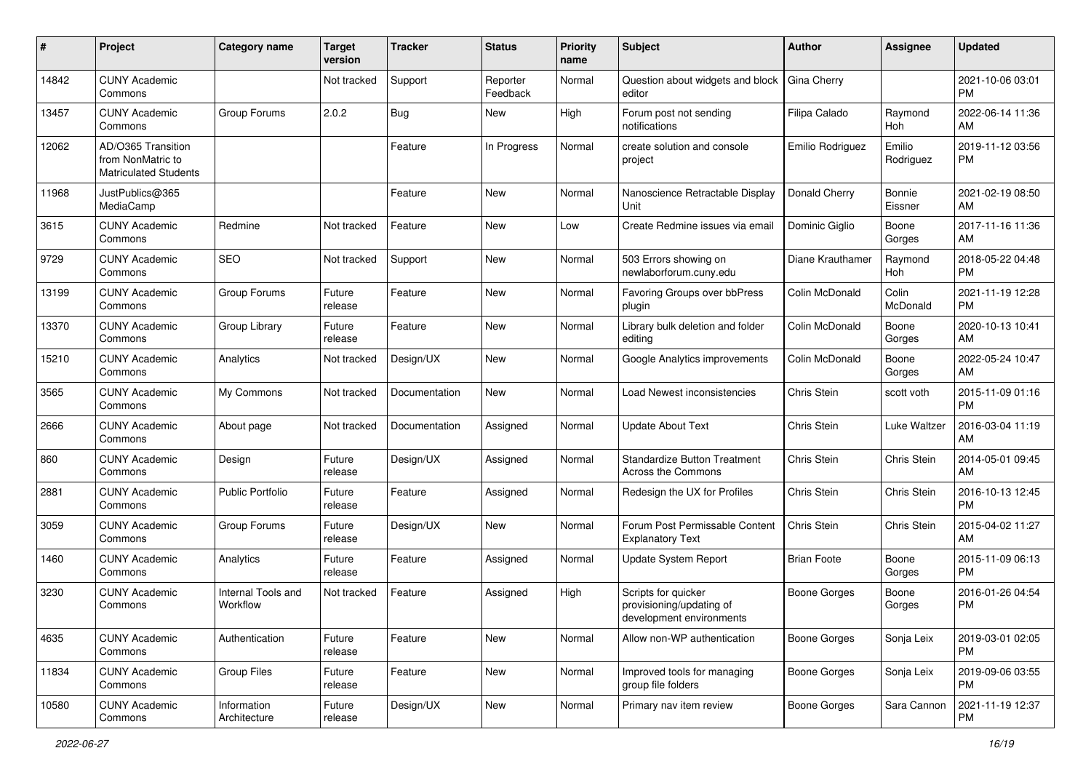| #     | Project                                                                 | <b>Category name</b>           | <b>Target</b><br>version | <b>Tracker</b> | <b>Status</b>        | <b>Priority</b><br>name | <b>Subject</b>                                                              | <b>Author</b>       | <b>Assignee</b>     | <b>Updated</b>                |
|-------|-------------------------------------------------------------------------|--------------------------------|--------------------------|----------------|----------------------|-------------------------|-----------------------------------------------------------------------------|---------------------|---------------------|-------------------------------|
| 14842 | <b>CUNY Academic</b><br>Commons                                         |                                | Not tracked              | Support        | Reporter<br>Feedback | Normal                  | Question about widgets and block<br>editor                                  | Gina Cherry         |                     | 2021-10-06 03:01<br><b>PM</b> |
| 13457 | <b>CUNY Academic</b><br>Commons                                         | Group Forums                   | 2.0.2                    | <b>Bug</b>     | <b>New</b>           | High                    | Forum post not sending<br>notifications                                     | Filipa Calado       | Raymond<br>Hoh      | 2022-06-14 11:36<br>AM        |
| 12062 | AD/O365 Transition<br>from NonMatric to<br><b>Matriculated Students</b> |                                |                          | Feature        | In Progress          | Normal                  | create solution and console<br>project                                      | Emilio Rodriguez    | Emilio<br>Rodriguez | 2019-11-12 03:56<br>PM        |
| 11968 | JustPublics@365<br>MediaCamp                                            |                                |                          | Feature        | <b>New</b>           | Normal                  | Nanoscience Retractable Display<br>Unit                                     | Donald Cherry       | Bonnie<br>Eissner   | 2021-02-19 08:50<br>AM        |
| 3615  | <b>CUNY Academic</b><br>Commons                                         | Redmine                        | Not tracked              | Feature        | <b>New</b>           | Low                     | Create Redmine issues via emai                                              | Dominic Giglio      | Boone<br>Gorges     | 2017-11-16 11:36<br>AM        |
| 9729  | <b>CUNY Academic</b><br>Commons                                         | SEO                            | Not tracked              | Support        | <b>New</b>           | Normal                  | 503 Errors showing on<br>newlaborforum.cuny.edu                             | Diane Krauthamer    | Raymond<br>Hoh      | 2018-05-22 04:48<br><b>PM</b> |
| 13199 | <b>CUNY Academic</b><br>Commons                                         | Group Forums                   | Future<br>release        | Feature        | <b>New</b>           | Normal                  | Favoring Groups over bbPress<br>plugin                                      | Colin McDonald      | Colin<br>McDonald   | 2021-11-19 12:28<br><b>PM</b> |
| 13370 | <b>CUNY Academic</b><br>Commons                                         | Group Library                  | Future<br>release        | Feature        | <b>New</b>           | Normal                  | Library bulk deletion and folder<br>editing                                 | Colin McDonald      | Boone<br>Gorges     | 2020-10-13 10:41<br>AM        |
| 15210 | <b>CUNY Academic</b><br>Commons                                         | Analytics                      | Not tracked              | Design/UX      | <b>New</b>           | Normal                  | Google Analytics improvements                                               | Colin McDonald      | Boone<br>Gorges     | 2022-05-24 10:47<br>AM        |
| 3565  | <b>CUNY Academic</b><br>Commons                                         | My Commons                     | Not tracked              | Documentation  | <b>New</b>           | Normal                  | Load Newest inconsistencies                                                 | Chris Stein         | scott voth          | 2015-11-09 01:16<br><b>PM</b> |
| 2666  | <b>CUNY Academic</b><br>Commons                                         | About page                     | Not tracked              | Documentation  | Assigned             | Normal                  | <b>Update About Text</b>                                                    | <b>Chris Stein</b>  | Luke Waltzer        | 2016-03-04 11:19<br>AM        |
| 860   | <b>CUNY Academic</b><br>Commons                                         | Design                         | Future<br>release        | Design/UX      | Assigned             | Normal                  | Standardize Button Treatment<br><b>Across the Commons</b>                   | <b>Chris Stein</b>  | Chris Stein         | 2014-05-01 09:45<br>AM        |
| 2881  | <b>CUNY Academic</b><br>Commons                                         | <b>Public Portfolio</b>        | Future<br>release        | Feature        | Assigned             | Normal                  | Redesign the UX for Profiles                                                | <b>Chris Stein</b>  | Chris Stein         | 2016-10-13 12:45<br><b>PM</b> |
| 3059  | <b>CUNY Academic</b><br>Commons                                         | Group Forums                   | Future<br>release        | Design/UX      | <b>New</b>           | Normal                  | Forum Post Permissable Content<br><b>Explanatory Text</b>                   | <b>Chris Stein</b>  | Chris Stein         | 2015-04-02 11:27<br>AM        |
| 1460  | <b>CUNY Academic</b><br>Commons                                         | Analytics                      | Future<br>release        | Feature        | Assigned             | Normal                  | Update System Report                                                        | <b>Brian Foote</b>  | Boone<br>Gorges     | 2015-11-09 06:13<br><b>PM</b> |
| 3230  | <b>CUNY Academic</b><br>Commons                                         | Internal Tools and<br>Workflow | Not tracked              | Feature        | Assigned             | High                    | Scripts for quicker<br>provisioning/updating of<br>development environments | <b>Boone Gorges</b> | Boone<br>Gorges     | 2016-01-26 04:54<br><b>PM</b> |
| 4635  | <b>CUNY Academic</b><br>Commons                                         | Authentication                 | Future<br>release        | Feature        | New                  | Normal                  | Allow non-WP authentication                                                 | <b>Boone Gorges</b> | Sonja Leix          | 2019-03-01 02:05<br><b>PM</b> |
| 11834 | <b>CUNY Academic</b><br>Commons                                         | Group Files                    | Future<br>release        | Feature        | New                  | Normal                  | Improved tools for managing<br>group file folders                           | Boone Gorges        | Sonja Leix          | 2019-09-06 03:55<br><b>PM</b> |
| 10580 | <b>CUNY Academic</b><br>Commons                                         | Information<br>Architecture    | Future<br>release        | Design/UX      | New                  | Normal                  | Primary nav item review                                                     | Boone Gorges        | Sara Cannon         | 2021-11-19 12:37<br>PM        |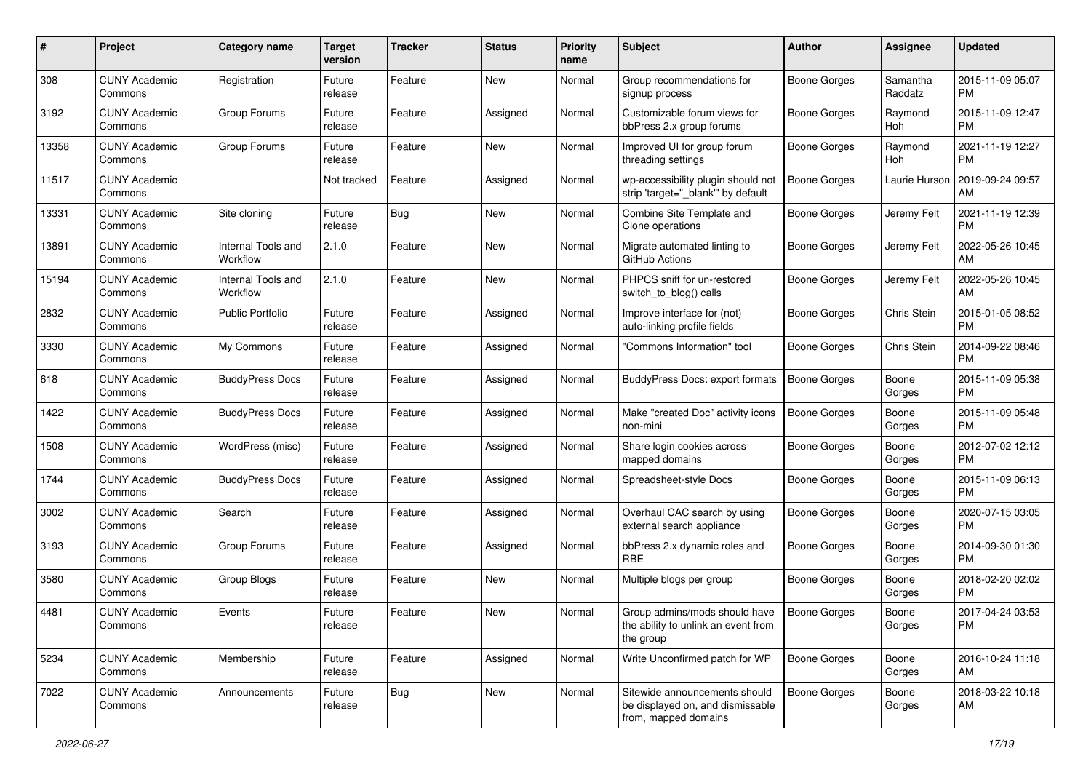| #     | Project                         | <b>Category name</b>           | <b>Target</b><br>version | <b>Tracker</b> | <b>Status</b> | <b>Priority</b><br>name | Subject                                                                                   | Author              | Assignee            | <b>Updated</b>                |
|-------|---------------------------------|--------------------------------|--------------------------|----------------|---------------|-------------------------|-------------------------------------------------------------------------------------------|---------------------|---------------------|-------------------------------|
| 308   | <b>CUNY Academic</b><br>Commons | Registration                   | Future<br>release        | Feature        | New           | Normal                  | Group recommendations for<br>signup process                                               | <b>Boone Gorges</b> | Samantha<br>Raddatz | 2015-11-09 05:07<br><b>PM</b> |
| 3192  | <b>CUNY Academic</b><br>Commons | Group Forums                   | Future<br>release        | Feature        | Assigned      | Normal                  | Customizable forum views for<br>bbPress 2.x group forums                                  | <b>Boone Gorges</b> | Raymond<br>Hoh      | 2015-11-09 12:47<br><b>PM</b> |
| 13358 | <b>CUNY Academic</b><br>Commons | Group Forums                   | Future<br>release        | Feature        | New           | Normal                  | Improved UI for group forum<br>threading settings                                         | <b>Boone Gorges</b> | Raymond<br>Hoh      | 2021-11-19 12:27<br><b>PM</b> |
| 11517 | <b>CUNY Academic</b><br>Commons |                                | Not tracked              | Feature        | Assigned      | Normal                  | wp-accessibility plugin should not<br>strip 'target=" blank" by default                   | <b>Boone Gorges</b> | Laurie Hurson       | 2019-09-24 09:57<br>AM        |
| 13331 | <b>CUNY Academic</b><br>Commons | Site cloning                   | Future<br>release        | Bug            | New           | Normal                  | Combine Site Template and<br>Clone operations                                             | <b>Boone Gorges</b> | Jeremy Felt         | 2021-11-19 12:39<br><b>PM</b> |
| 13891 | <b>CUNY Academic</b><br>Commons | Internal Tools and<br>Workflow | 2.1.0                    | Feature        | <b>New</b>    | Normal                  | Migrate automated linting to<br>GitHub Actions                                            | <b>Boone Gorges</b> | Jeremy Felt         | 2022-05-26 10:45<br>AM        |
| 15194 | <b>CUNY Academic</b><br>Commons | Internal Tools and<br>Workflow | 2.1.0                    | Feature        | New           | Normal                  | PHPCS sniff for un-restored<br>switch_to_blog() calls                                     | <b>Boone Gorges</b> | Jeremy Felt         | 2022-05-26 10:45<br>AM        |
| 2832  | <b>CUNY Academic</b><br>Commons | <b>Public Portfolio</b>        | Future<br>release        | Feature        | Assigned      | Normal                  | Improve interface for (not)<br>auto-linking profile fields                                | <b>Boone Gorges</b> | Chris Stein         | 2015-01-05 08:52<br><b>PM</b> |
| 3330  | <b>CUNY Academic</b><br>Commons | My Commons                     | Future<br>release        | Feature        | Assigned      | Normal                  | 'Commons Information" tool                                                                | <b>Boone Gorges</b> | Chris Stein         | 2014-09-22 08:46<br><b>PM</b> |
| 618   | <b>CUNY Academic</b><br>Commons | <b>BuddyPress Docs</b>         | Future<br>release        | Feature        | Assigned      | Normal                  | <b>BuddyPress Docs: export formats</b>                                                    | <b>Boone Gorges</b> | Boone<br>Gorges     | 2015-11-09 05:38<br><b>PM</b> |
| 1422  | <b>CUNY Academic</b><br>Commons | <b>BuddyPress Docs</b>         | Future<br>release        | Feature        | Assigned      | Normal                  | Make "created Doc" activity icons<br>non-mini                                             | Boone Gorges        | Boone<br>Gorges     | 2015-11-09 05:48<br><b>PM</b> |
| 1508  | <b>CUNY Academic</b><br>Commons | WordPress (misc)               | Future<br>release        | Feature        | Assigned      | Normal                  | Share login cookies across<br>mapped domains                                              | <b>Boone Gorges</b> | Boone<br>Gorges     | 2012-07-02 12:12<br><b>PM</b> |
| 1744  | <b>CUNY Academic</b><br>Commons | <b>BuddyPress Docs</b>         | Future<br>release        | Feature        | Assigned      | Normal                  | Spreadsheet-style Docs                                                                    | <b>Boone Gorges</b> | Boone<br>Gorges     | 2015-11-09 06:13<br><b>PM</b> |
| 3002  | <b>CUNY Academic</b><br>Commons | Search                         | Future<br>release        | Feature        | Assigned      | Normal                  | Overhaul CAC search by using<br>external search appliance                                 | <b>Boone Gorges</b> | Boone<br>Gorges     | 2020-07-15 03:05<br><b>PM</b> |
| 3193  | <b>CUNY Academic</b><br>Commons | Group Forums                   | Future<br>release        | Feature        | Assigned      | Normal                  | bbPress 2.x dynamic roles and<br><b>RBE</b>                                               | <b>Boone Gorges</b> | Boone<br>Gorges     | 2014-09-30 01:30<br><b>PM</b> |
| 3580  | <b>CUNY Academic</b><br>Commons | Group Blogs                    | Future<br>release        | Feature        | New           | Normal                  | Multiple blogs per group                                                                  | <b>Boone Gorges</b> | Boone<br>Gorges     | 2018-02-20 02:02<br><b>PM</b> |
| 4481  | <b>CUNY Academic</b><br>Commons | Events                         | Future<br>release        | Feature        | New           | Normal                  | Group admins/mods should have<br>the ability to unlink an event from<br>the group         | <b>Boone Gorges</b> | Boone<br>Gorges     | 2017-04-24 03:53<br>PM        |
| 5234  | <b>CUNY Academic</b><br>Commons | Membership                     | Future<br>release        | Feature        | Assigned      | Normal                  | Write Unconfirmed patch for WP                                                            | Boone Gorges        | Boone<br>Gorges     | 2016-10-24 11:18<br>AM        |
| 7022  | <b>CUNY Academic</b><br>Commons | Announcements                  | Future<br>release        | <b>Bug</b>     | New           | Normal                  | Sitewide announcements should<br>be displayed on, and dismissable<br>from, mapped domains | Boone Gorges        | Boone<br>Gorges     | 2018-03-22 10:18<br>AM        |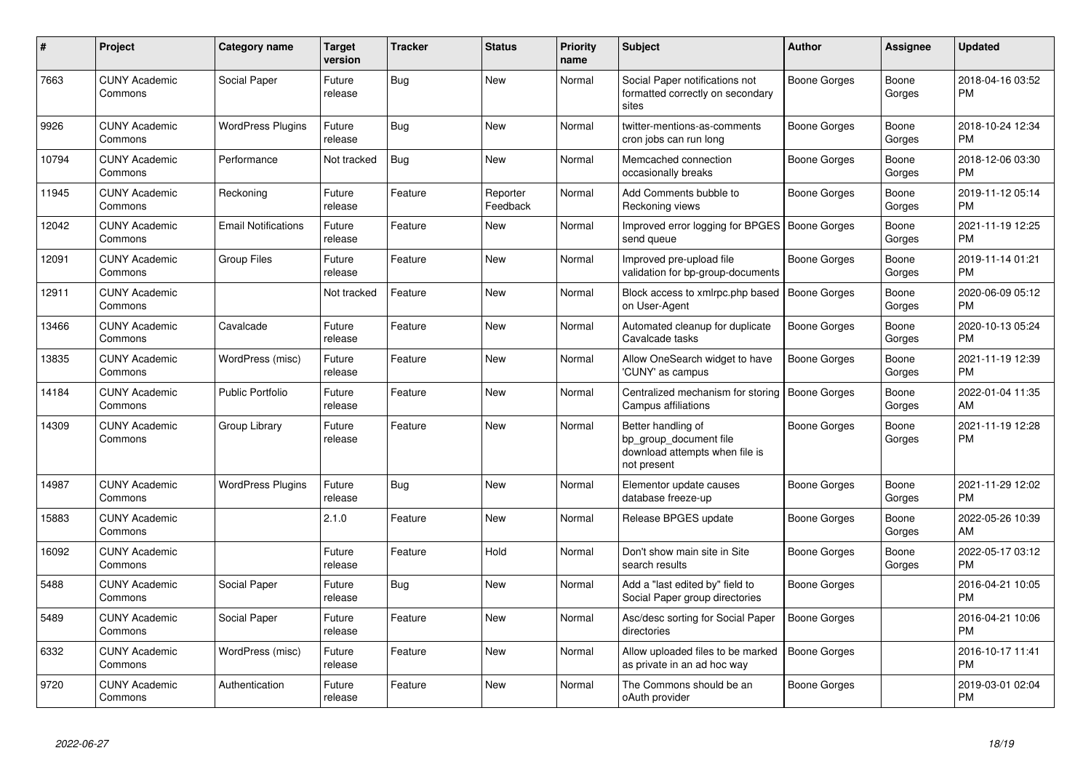| #     | <b>Project</b>                  | <b>Category name</b>       | <b>Target</b><br>version | <b>Tracker</b> | <b>Status</b>        | <b>Priority</b><br>name | <b>Subject</b>                                                                                | <b>Author</b>       | Assignee        | <b>Updated</b>                |
|-------|---------------------------------|----------------------------|--------------------------|----------------|----------------------|-------------------------|-----------------------------------------------------------------------------------------------|---------------------|-----------------|-------------------------------|
| 7663  | <b>CUNY Academic</b><br>Commons | Social Paper               | Future<br>release        | Bug            | <b>New</b>           | Normal                  | Social Paper notifications not<br>formatted correctly on secondary<br>sites                   | Boone Gorges        | Boone<br>Gorges | 2018-04-16 03:52<br><b>PM</b> |
| 9926  | <b>CUNY Academic</b><br>Commons | <b>WordPress Plugins</b>   | Future<br>release        | <b>Bug</b>     | New                  | Normal                  | twitter-mentions-as-comments<br>cron jobs can run long                                        | Boone Gorges        | Boone<br>Gorges | 2018-10-24 12:34<br><b>PM</b> |
| 10794 | <b>CUNY Academic</b><br>Commons | Performance                | Not tracked              | Bug            | New                  | Normal                  | Memcached connection<br>occasionally breaks                                                   | Boone Gorges        | Boone<br>Gorges | 2018-12-06 03:30<br><b>PM</b> |
| 11945 | <b>CUNY Academic</b><br>Commons | Reckoning                  | Future<br>release        | Feature        | Reporter<br>Feedback | Normal                  | Add Comments bubble to<br>Reckoning views                                                     | Boone Gorges        | Boone<br>Gorges | 2019-11-12 05:14<br><b>PM</b> |
| 12042 | <b>CUNY Academic</b><br>Commons | <b>Email Notifications</b> | Future<br>release        | Feature        | <b>New</b>           | Normal                  | Improved error logging for BPGES   Boone Gorges<br>send queue                                 |                     | Boone<br>Gorges | 2021-11-19 12:25<br><b>PM</b> |
| 12091 | <b>CUNY Academic</b><br>Commons | <b>Group Files</b>         | Future<br>release        | Feature        | <b>New</b>           | Normal                  | Improved pre-upload file<br>validation for bp-group-documents                                 | Boone Gorges        | Boone<br>Gorges | 2019-11-14 01:21<br><b>PM</b> |
| 12911 | <b>CUNY Academic</b><br>Commons |                            | Not tracked              | Feature        | <b>New</b>           | Normal                  | Block access to xmlrpc.php based<br>on User-Agent                                             | Boone Gorges        | Boone<br>Gorges | 2020-06-09 05:12<br><b>PM</b> |
| 13466 | <b>CUNY Academic</b><br>Commons | Cavalcade                  | Future<br>release        | Feature        | New                  | Normal                  | Automated cleanup for duplicate<br>Cavalcade tasks                                            | Boone Gorges        | Boone<br>Gorges | 2020-10-13 05:24<br><b>PM</b> |
| 13835 | <b>CUNY Academic</b><br>Commons | WordPress (misc)           | Future<br>release        | Feature        | <b>New</b>           | Normal                  | Allow OneSearch widget to have<br>'CUNY' as campus                                            | Boone Gorges        | Boone<br>Gorges | 2021-11-19 12:39<br><b>PM</b> |
| 14184 | <b>CUNY Academic</b><br>Commons | <b>Public Portfolio</b>    | Future<br>release        | Feature        | <b>New</b>           | Normal                  | Centralized mechanism for storing<br>Campus affiliations                                      | <b>Boone Gorges</b> | Boone<br>Gorges | 2022-01-04 11:35<br>AM        |
| 14309 | <b>CUNY Academic</b><br>Commons | Group Library              | Future<br>release        | Feature        | <b>New</b>           | Normal                  | Better handling of<br>bp group document file<br>download attempts when file is<br>not present | Boone Gorges        | Boone<br>Gorges | 2021-11-19 12:28<br><b>PM</b> |
| 14987 | <b>CUNY Academic</b><br>Commons | <b>WordPress Plugins</b>   | Future<br>release        | Bug            | New                  | Normal                  | Elementor update causes<br>database freeze-up                                                 | Boone Gorges        | Boone<br>Gorges | 2021-11-29 12:02<br><b>PM</b> |
| 15883 | <b>CUNY Academic</b><br>Commons |                            | 2.1.0                    | Feature        | <b>New</b>           | Normal                  | Release BPGES update                                                                          | Boone Gorges        | Boone<br>Gorges | 2022-05-26 10:39<br>AM        |
| 16092 | <b>CUNY Academic</b><br>Commons |                            | Future<br>release        | Feature        | Hold                 | Normal                  | Don't show main site in Site<br>search results                                                | Boone Gorges        | Boone<br>Gorges | 2022-05-17 03:12<br><b>PM</b> |
| 5488  | <b>CUNY Academic</b><br>Commons | Social Paper               | Future<br>release        | <b>Bug</b>     | <b>New</b>           | Normal                  | Add a "last edited by" field to<br>Social Paper group directories                             | Boone Gorges        |                 | 2016-04-21 10:05<br><b>PM</b> |
| 5489  | <b>CUNY Academic</b><br>Commons | Social Paper               | Future<br>release        | Feature        | <b>New</b>           | Normal                  | Asc/desc sorting for Social Paper<br>directories                                              | <b>Boone Gorges</b> |                 | 2016-04-21 10:06<br><b>PM</b> |
| 6332  | <b>CUNY Academic</b><br>Commons | WordPress (misc)           | Future<br>release        | Feature        | <b>New</b>           | Normal                  | Allow uploaded files to be marked<br>as private in an ad hoc way                              | Boone Gorges        |                 | 2016-10-17 11:41<br><b>PM</b> |
| 9720  | <b>CUNY Academic</b><br>Commons | Authentication             | Future<br>release        | Feature        | <b>New</b>           | Normal                  | The Commons should be an<br>oAuth provider                                                    | Boone Gorges        |                 | 2019-03-01 02:04<br>PM        |